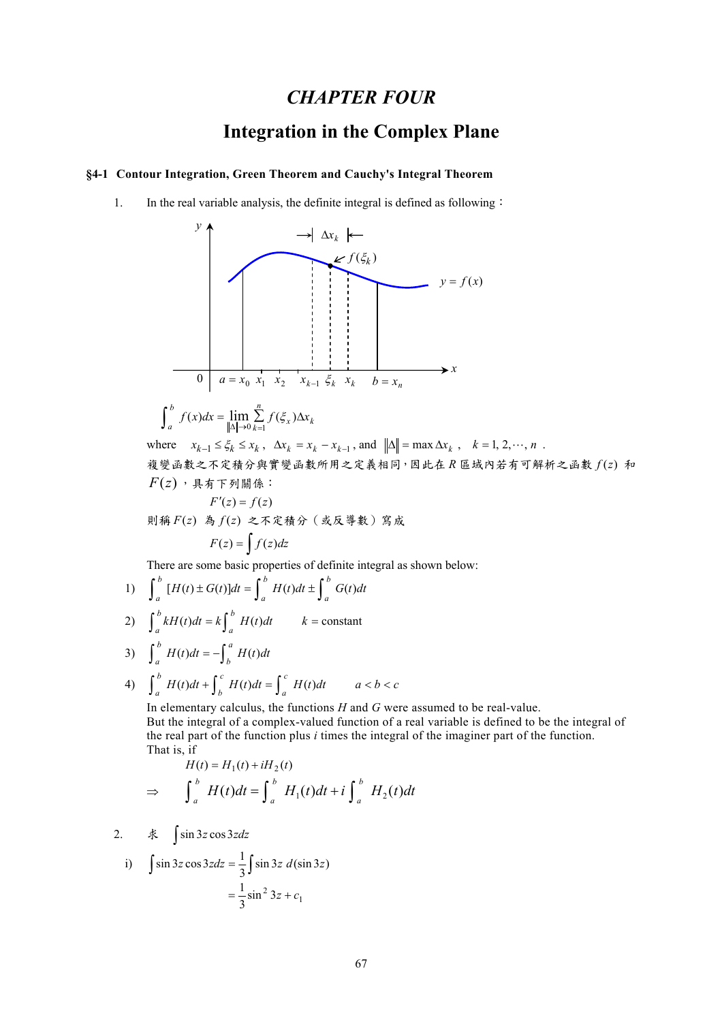## *CHAPTER FOUR*

# **Integration in the Complex Plane**

### **§4-1 Contour Integration, Green Theorem and Cauchy's Integral Theorem**

1. In the real variable analysis, the definite integral is defined as following:



$$
\int_{a}^{b} f(x)dx = \lim_{\|\Delta\| \to 0} \sum_{k=1}^{n} f(\xi_{x}) \Delta x_{k}
$$

where  $x_{k-1} \leq \xi_k \leq x_k$ ,  $\Delta x_k = x_k - x_{k-1}$ , and  $\|\Delta\| = \max \Delta x_k$ ,  $k = 1, 2, \dots, n$ . 複變函數之不定積分與實變函數所用之定義相同,因此在 *R* 區域內若有可解析之函數 *f* (*z*) 和  $F(z)$ ,具有下列關係:

$$
F'(z) = f(z)
$$
則稱F(z) 累 f(z) 之不定積分(或反導数)宮成  
\n
$$
F(z) = \int f(z)dz
$$

There are some basic properties of definite integral as shown below:

1) 
$$
\int_{a}^{b} [H(t) \pm G(t)]dt = \int_{a}^{b} H(t)dt \pm \int_{a}^{b} G(t)dt
$$

2) 
$$
\int_{a}^{b} kH(t)dt = k \int_{a}^{b} H(t)dt \qquad k = \text{constant}
$$

3) 
$$
\int_{a}^{b} H(t)dt = -\int_{b}^{a} H(t)dt
$$

4) 
$$
\int_a^b H(t)dt + \int_b^c H(t)dt = \int_a^c H(t)dt \qquad a < b < c
$$

In elementary calculus, the functions *H* and *G* were assumed to be real-value. But the integral of a complex-valued function of a real variable is defined to be the integral of the real part of the function plus *i* times the integral of the imaginer part of the function. That is, if

$$
H(t) = H_1(t) + iH_2(t)
$$
  
\n
$$
\Rightarrow \qquad \int_a^b H(t)dt = \int_a^b H_1(t)dt + i \int_a^b H_2(t)dt
$$

2. <sup>求</sup> ∫sin <sup>3</sup>*<sup>z</sup>* cos3*zdz*

i) 
$$
\int \sin 3z \cos 3z dz = \frac{1}{3} \int \sin 3z \ d(\sin 3z) = \frac{1}{3} \sin^2 3z + c_1
$$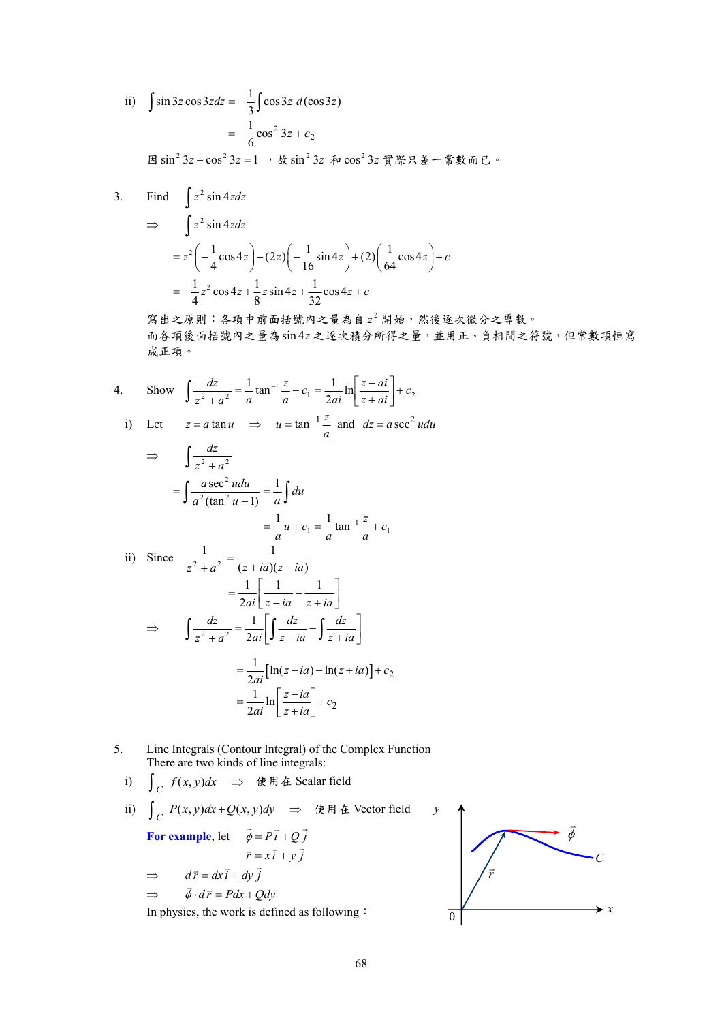ii) 
$$
\int \sin 3z \cos 3z dz = -\frac{1}{3} \int \cos 3z \ d(\cos 3z) = -\frac{1}{6} \cos^2 3z + c_2
$$

因sin<sup>2</sup> 3z + cos<sup>2</sup> 3z = 1, 故sin<sup>2</sup> 3z 和 cos<sup>2</sup> 3z 實際只差一常數而已。

3. Find 
$$
\int z^2 \sin 4z dz
$$
  
\n $\Rightarrow \int z^2 \sin 4z dz$   
\n $= z^2 \left( -\frac{1}{4} \cos 4z \right) - (2z) \left( -\frac{1}{16} \sin 4z \right) + (2) \left( \frac{1}{64} \cos 4z \right) + c$   
\n $= -\frac{1}{4} z^2 \cos 4z + \frac{1}{8} z \sin 4z + \frac{1}{32} \cos 4z + c$ 

寫出之原則:各項中前面括號內之量為自 <sup>2</sup> *z* 開始,然後逐次微分之導數。 而各項後面括號內之量為sin 4*z* 之逐次積分所得之量,並用正、負相間之符號,但常數項恒寫 成正項。

4. Show 
$$
\int \frac{dz}{z^2 + a^2} = \frac{1}{a} \tan^{-1} \frac{z}{a} + c_1 = \frac{1}{2ai} \ln \left[ \frac{z - ai}{z + ai} \right] + c_2
$$
  
\ni) Let  $z = a \tan u \implies u = \tan^{-1} \frac{z}{a}$  and  $dz = a \sec^2 u du$ 

$$
\Rightarrow \int \frac{dz}{z^2 + a^2}
$$
  
\n
$$
= \int \frac{a \sec^2 u du}{a^2 (\tan^2 u + 1)} = \frac{1}{a} \int du
$$
  
\n
$$
= \frac{1}{a} u + c_1 = \frac{1}{a} \tan^{-1} \frac{z}{a} + c_1
$$
  
\nii) Since 
$$
\frac{1}{z^2 + a^2} = \frac{1}{(z + ia)(z - ia)}
$$
  
\n
$$
= \frac{1}{2ai} \left[ \frac{1}{z - ia} - \frac{1}{z + ia} \right]
$$
  
\n
$$
\Rightarrow \int \frac{dz}{z^2 + a^2} = \frac{1}{2ai} \left[ \int \frac{dz}{z - ia} - \int \frac{dz}{z + ia} \right]
$$
  
\n
$$
= \frac{1}{2ai} [\ln(z - ia) - \ln(z + ia)] + c_2
$$
  
\n
$$
= \frac{1}{2ai} \ln \left[ \frac{z - ia}{z + ia} \right] + c_2
$$

5. Line Integrals (Contour Integral) of the Complex Function There are two kinds of line integrals:

\n- i) 
$$
\int_C f(x, y) \, dx
$$
 ⇒  $\notin \mathbb{H}$  & Scalar field
\n- ii)  $\int_C P(x, y) \, dx + Q(x, y) \, dy$  ⇒  $\notin \mathbb{H}$  & Vector field
\n- **For example, let**  $\vec{\phi} = P\vec{i} + Q\vec{j}$   $\vec{r} = x\vec{i} + y\vec{j}$  ⇒  $d\vec{r} = dx\vec{i} + dy\vec{j}$  ⇒  $\vec{\phi} \cdot d\vec{r} = Pdx + Qdy$  In physics, the work is defined as following :
\n

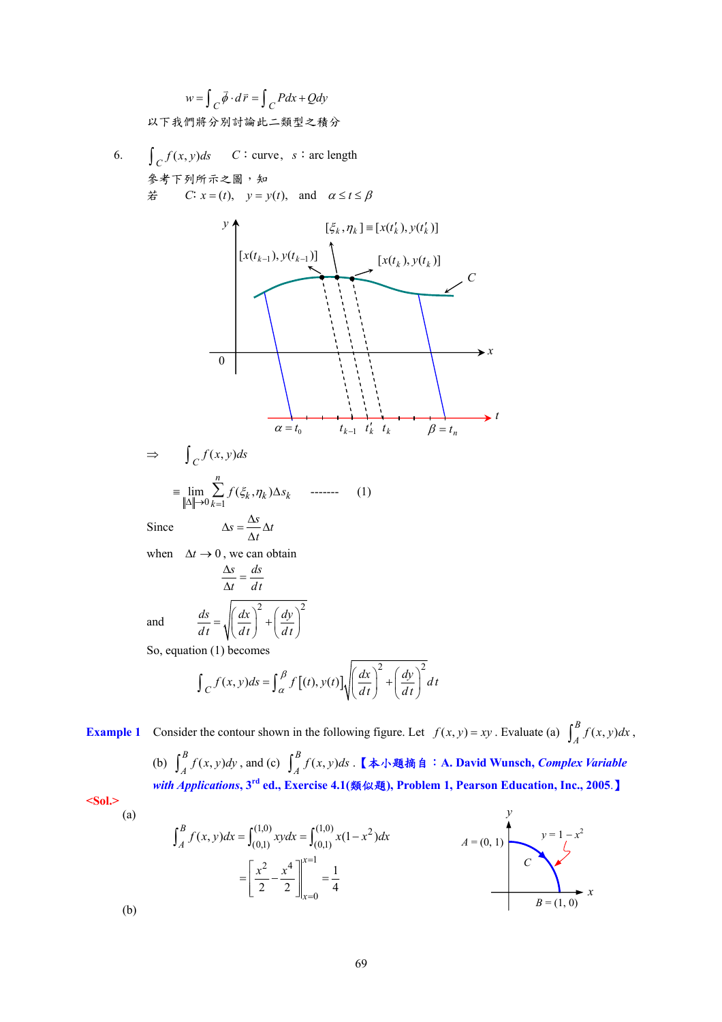$$
w = \int_C \vec{\phi} \cdot d\vec{r} = \int_C P dx + Q dy
$$
以下我 $f$  紭用將分別計論比二類型之積分

6.  $\int_C f(x, y) ds$  *C*: curve, *s*: arc length 參考下列所示之圖,知  $\dot{\mathcal{F}}$  *C*:  $x = (t)$ ,  $y = y(t)$ , and  $\alpha \le t \le \beta$ 



when  $\Delta t \rightarrow 0$ , we can obtain

$$
\frac{\Delta s}{\Delta t} = \frac{ds}{dt}
$$
  
and 
$$
\frac{ds}{dt} = \sqrt{\left(\frac{dx}{dt}\right)^2 + \left(\frac{dy}{dt}\right)^2}
$$

So, equation (1) becomes

$$
\int_C f(x, y)ds = \int_{\alpha}^{\beta} f[(t), y(t)] \sqrt{\left(\frac{dx}{dt}\right)^2 + \left(\frac{dy}{dt}\right)^2} dt
$$

**Example 1** Consider the contour shown in the following figure. Let  $f(x, y) = xy$ . Evaluate (a)  $\int_A^B f(x, y) dx$ , (b)  $\int_A^B f(x, y) dy$ , and (c)  $\int_A^B f(x, y) ds$ . 【本小題摘自: A. David Wunsch, *Complex Variable with Applications***, 3rd ed., Exercise 4.1(**類似題**), Problem 1, Pearson Education, Inc., 2005**.】 **<Sol.>**  (a) *y* 

$$
\int_{A}^{B} f(x, y) dx = \int_{(0,1)}^{(1,0)} xy dx = \int_{(0,1)}^{(1,0)} x(1-x^{2}) dx
$$
\n
$$
= \left[ \frac{x^{2}}{2} - \frac{x^{4}}{2} \right]_{x=0}^{x=1} = \frac{1}{4}
$$
\n
$$
B = (1, 0)
$$

(b)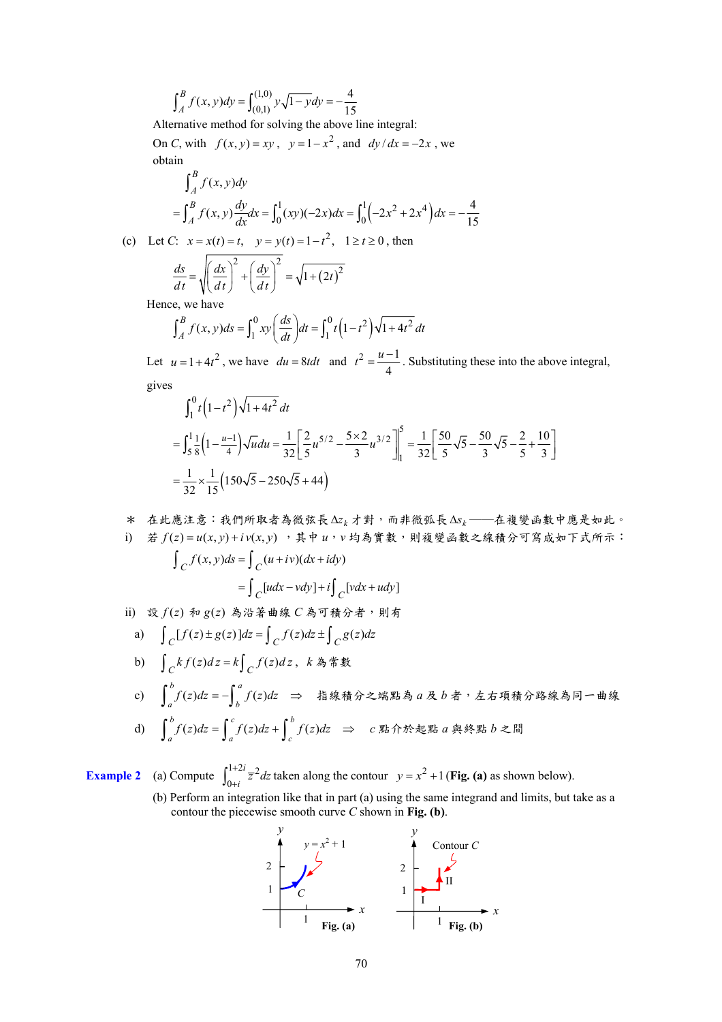$$
\int_A^B f(x, y) dy = \int_{(0,1)}^{(1,0)} y \sqrt{1 - y} dy = -\frac{4}{15}
$$

Alternative method for solving the above line integral:

On *C*, with  $f(x, y) = xy$ ,  $y = 1 - x^2$ , and  $dy/dx = -2x$ , we obtain

$$
\int_{A}^{B} f(x, y) dy
$$
  
=  $\int_{A}^{B} f(x, y) \frac{dy}{dx} dx = \int_{0}^{1} (xy)(-2x) dx = \int_{0}^{1} (-2x^{2} + 2x^{4}) dx = -\frac{4}{15}$ 

(c) Let *C*:  $x = x(t) = t$ ,  $y = y(t) = 1 - t^2$ ,  $1 \ge t \ge 0$ , then

$$
\frac{ds}{dt} = \sqrt{\left(\frac{dx}{dt}\right)^2 + \left(\frac{dy}{dt}\right)^2} = \sqrt{1 + (2t)^2}
$$
  
see we have

Hence, we have

$$
\int_{A}^{B} f(x, y) ds = \int_{1}^{0} xy \left(\frac{ds}{dt}\right) dt = \int_{1}^{0} t \left(1 - t^{2}\right) \sqrt{1 + 4t^{2}} dt
$$

Let  $u = 1 + 4t^2$ , we have  $du = 8t dt$  and  $t^2 = \frac{u-1}{4}$  $t^2 = \frac{u-1}{t}$ . Substituting these into the above integral, gives

$$
\int_{1}^{0} t \left(1 - t^{2}\right) \sqrt{1 + 4t^{2}} dt
$$
\n
$$
= \int_{5}^{1} \frac{1}{8} \left(1 - \frac{u - 1}{4}\right) \sqrt{u} du = \frac{1}{32} \left[\frac{2}{5} u^{5/2} - \frac{5 \times 2}{3} u^{3/2}\right]_{1}^{5} = \frac{1}{32} \left[\frac{50}{5} \sqrt{5} - \frac{50}{3} \sqrt{5} - \frac{2}{5} + \frac{10}{3}\right]
$$
\n
$$
= \frac{1}{32} \times \frac{1}{15} \left(150\sqrt{5} - 250\sqrt{5} + 44\right)
$$

\* 在此應注意:我們所取者為微弦長 *<sup>k</sup>* ∆*z* 才對,而非微弧長 *<sup>k</sup>* ∆*s* ──在複變函數中應是如此。 i) 若 *f* (*z*) = *u*(*x*, *y*) + *i v*(*x*, *y*) ,其中 *u*,*v* 均為實數,則複變函數之線積分可寫成如下式所示:  $\int_C f(x, y) ds = \int_C (u + iv) (dx + idy)$  $=\int_C [udx-vdy]+i\int_C [vdx+udy]$ ii) 設 $f(z)$  和  $g(z)$  為沿著曲線  $C$  為可積分者,則有

a) [ ( ) ( )] ( ) ( ) *C CC <sup>f</sup> z g z dz f z dz g z dz* ±= ± ∫ ∫∫ b) () () , *C C kf z dz k f z dz* <sup>=</sup> ∫ ∫ *<sup>k</sup>* 為常數 c) ∫ <sup>=</sup> −∫ <sup>⇒</sup> *<sup>a</sup> b b a f* (*z*)*dz f* (*z*)*dz* 指線積分之端點為 *a* 及 *b* 者,左右項積分路線為同一曲線 d) ∫ <sup>=</sup> ∫ <sup>+</sup> ∫ <sup>⇒</sup> *b c b a f* ( *z*)*dz f* (*z*)*dz f* (*z*)*dz c* 點介於起點 *a* 與終點 *b* 之間

**Example 2** (a) Compute 
$$
\int_{0+i}^{1+2i} \overline{z}^2 dz
$$
 taken along the contour  $y = x^2 + 1$  (**Fig. (a)** as shown below).

*c*

*a*

(b) Perform an integration like that in part (a) using the same integrand and limits, but take as a contour the piecewise smooth curve *C* shown in **Fig. (b)**.

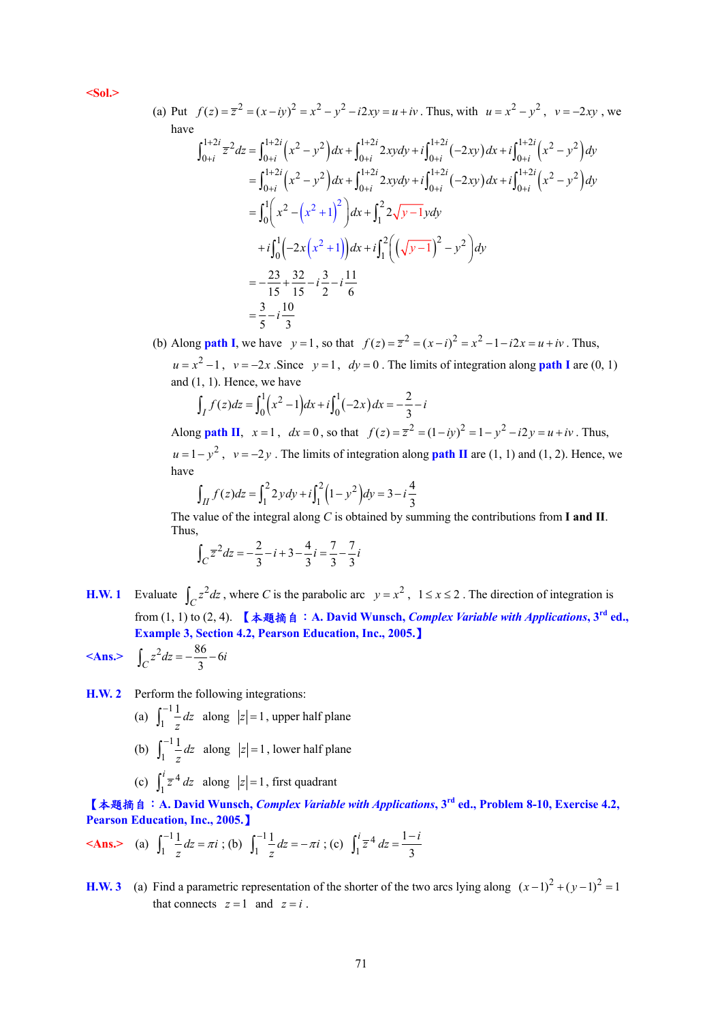**<Sol.>** 

(a) Put 
$$
f(z) = \overline{z}^2 = (x - iy)^2 = x^2 - y^2 - i2xy = u + iv
$$
. Thus, with  $u = x^2 - y^2$ ,  $v = -2xy$ , we have  
\nhave  
\n
$$
\int_{0+i}^{1+2i} \overline{z}^2 dz = \int_{0+i}^{1+2i} (x^2 - y^2) dx + \int_{0+i}^{1+2i} 2xy dy + i \int_{0+i}^{1+2i} (-2xy) dx + i \int_{0+i}^{1+2i} (x^2 - y^2) dy
$$
\n
$$
= \int_{0+i}^{1+2i} (x^2 - y^2) dx + \int_{0+i}^{1+2i} 2xy dy + i \int_{0+i}^{1+2i} (-2xy) dx + i \int_{0+i}^{1+2i} (x^2 - y^2) dy
$$
\n
$$
= \int_{0}^{1} \left( x^2 - (x^2 + 1)^2 \right) dx + \int_{1}^{2} 2\sqrt{y - 1} y dy
$$
\n
$$
+ i \int_{0}^{1} \left( -2x(x^2 + 1) \right) dx + i \int_{1}^{2} \left( \left( \sqrt{y - 1} \right)^2 - y^2 \right) dy
$$
\n
$$
= -\frac{23}{15} + \frac{32}{15} - i \frac{3}{2} - i \frac{11}{6}
$$
\n
$$
= \frac{3}{5} - i \frac{10}{3}
$$

(b) Along **path I**, we have  $y = 1$ , so that  $f(z) = \overline{z}^2 = (x - i)^2 = x^2 - 1 - i2x = u + iv$ . Thus,  $u = x^2 - 1$ ,  $v = -2x$ . Since  $y = 1$ ,  $dy = 0$ . The limits of integration along **path I** are (0, 1) and (1, 1). Hence, we have

$$
\int_I f(z)dz = \int_0^1 (x^2 - 1)dx + i \int_0^1 (-2x)dx = -\frac{2}{3} - i
$$
  
Along **path II**,  $x = 1$ ,  $dx = 0$ , so that  $f(z) = \overline{z}^2 = (1 - iy)^2 = 1 - y^2 - i2y = u + iv$ . Thus,  
 $u = 1 - y^2$ ,  $v = -2y$ . The limits of integration along **path II** are (1, 1) and (1, 2). Hence, we have

$$
\int_{II} f(z)dz = \int_{1}^{2} 2y dy + i \int_{1}^{2} (1 - y^2) dy = 3 - i \frac{4}{3}
$$

The value of the integral along *C* is obtained by summing the contributions from **I and II**. Thus,

$$
\int_C \overline{z}^2 dz = -\frac{2}{3} - i + 3 - \frac{4}{3}i = \frac{7}{3} - \frac{7}{3}i
$$

- **H.W. 1** Evaluate  $\int_C z^2 dz$ , where *C* is the parabolic arc  $y = x^2$ ,  $1 \le x \le 2$ . The direction of integration is from (1, 1) to (2, 4). 【本題摘自:**A. David Wunsch,** *Complex Variable with Applications***, 3rd ed., Example 3, Section 4.2, Pearson Education, Inc., 2005.**】  $\angle$ **Ans.>**  $\int_C z^2 dz = -\frac{86}{3} - 6i$
- **H.W. 2** Perform the following integrations:
	- (a)  $\int_{0}^{-1}$  $\int_{1}^{-1} \frac{1}{z} dz$ *z*  $\int_{1}^{-1} \frac{1}{z} dz$  along  $|z| = 1$ , upper half plane (b)  $\int_{1}^{-1}$  $\int_{1}^{-1} \frac{1}{z} dz$ *z*  $\int_{1}^{-1} \frac{1}{z} dz$  along  $|z| = 1$ , lower half plane (c)  $\int_{1}^{1} \overline{z}^{4}$  $\int_1^i \overline{z}^4 dz$  along  $|z|=1$ , first quadrant

【本題摘自:**A. David Wunsch,** *Complex Variable with Applications***, 3rd ed., Problem 8-10, Exercise 4.2, Pearson Education, Inc., 2005.**】

$$
\textbf{} \quad \text{(a)} \ \ \int_{1}^{-1} \frac{1}{z} \, dz = \pi i \ \text{; (b)} \ \ \int_{1}^{-1} \frac{1}{z} \, dz = -\pi i \ \text{; (c)} \ \ \int_{1}^{i} \overline{z}^{\, 4} \, dz = \frac{1 - i}{3}
$$

**H.W. 3** (a) Find a parametric representation of the shorter of the two arcs lying along  $(x-1)^2 + (y-1)^2 = 1$ that connects  $z = 1$  and  $z = i$ .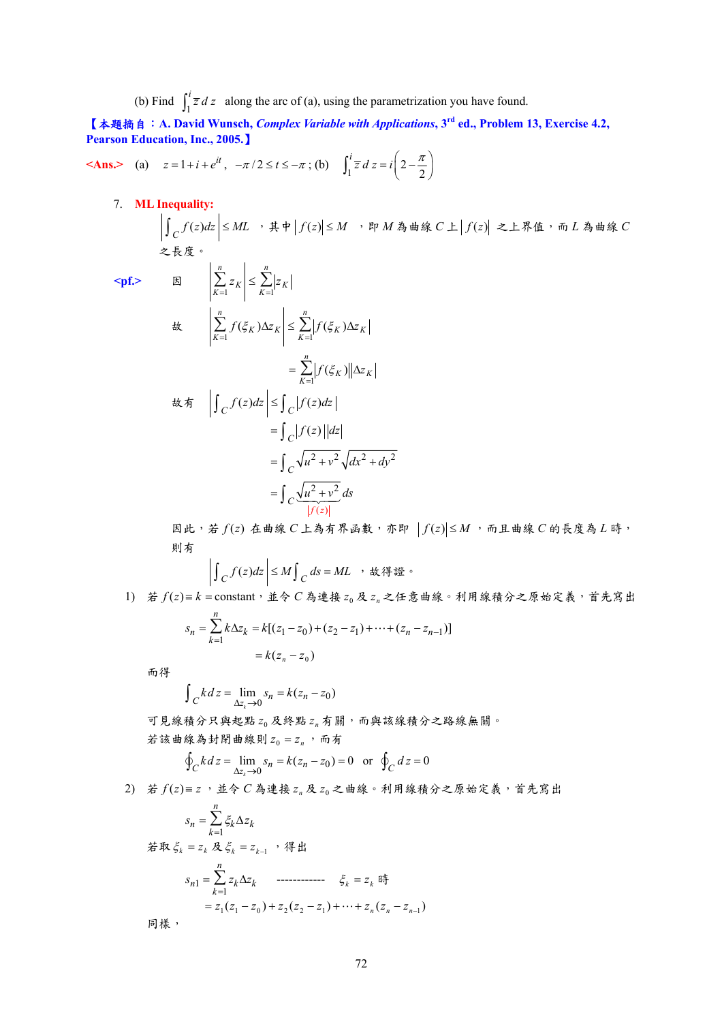(b) Find  $\int_1^i \overline{z} dz$  along the arc of (a), using the parametrization you have found.

【本題摘自:**A. David Wunsch,** *Complex Variable with Applications***, 3rd ed., Problem 13, Exercise 4.2, Pearson Education, Inc., 2005.**】

**Ans.** (a) 
$$
z = 1 + i + e^{it}
$$
,  $-\pi/2 \le t \le -\pi$ ; (b)  $\int_1^i \overline{z} \, dz = i \left( 2 - \frac{\pi}{2} \right)$ 

7. **ML Inequality:**

 $\int_C f(z)dz$  ≤ ML → 其中  $|f(z)|$  ≤ M → 即 M 為曲線 C 上  $|f(z)|$  之上界值, 而 L 為曲線 C 之長度。

 $\langle$ pf.>

$$
\mathbb{E} \left| \sum_{K=1}^{n} z_K \right| \leq \sum_{K=1}^{n} |z_K|
$$
\n
$$
\mathbb{E} \left| \sum_{K=1}^{n} f(\xi_K) \Delta z_K \right| \leq \sum_{K=1}^{n} |f(\xi_K) \Delta z_K|
$$
\n
$$
= \sum_{K=1}^{n} |f(\xi_K)| |\Delta z_K|
$$
\n
$$
\mathbb{E} \mathfrak{H} \left| \int_C f(z) dz \right| \leq \int_C |f(z) dz|
$$
\n
$$
= \int_C |f(z)| |dz|
$$
\n
$$
= \int_C \sqrt{u^2 + v^2} \sqrt{dx^2 + dy^2}
$$
\n
$$
= \int_C \frac{\sqrt{u^2 + v^2}}{|f(z)|} dz
$$

 $B$ 此,若  $f(z)$ 在曲線  $C$ 上為有界函數,亦即  $|f(z)|$ ≤ $M$ ,而且曲線  $C$  的長度為 $L$ 時, 則有

$$
\left| \int_C f(z)dz \right| \le M \int_C ds = ML \quad \text{if } k \notin \mathbb{S}.
$$

 $1)$  若 $f(z) = k =$  constant, 並令  $C$  為連接 $z_0$  及 $z_n$  之任意曲線。利用線積分之原始定義, 首先寫出

$$
s_n = \sum_{k=1}^n k \Delta z_k = k[(z_1 - z_0) + (z_2 - z_1) + \dots + (z_n - z_{n-1})]
$$
  
=  $k(z_n - z_0)$ 

而得

$$
\int_C k \, dz = \lim_{\Delta z_k \to 0} s_n = k(z_n - z_0)
$$

可見線積分只與起點  $z_0$ 及終點  $z_n$  有關,而與該線積分之路線無關。 若該曲線為封閉曲線則  $z_0 = z_0$ , 而有

$$
\oint_C k \, dz = \lim_{\Delta z_k \to 0} s_n = k(z_n - z_0) = 0 \quad \text{or} \quad \oint_C dz = 0
$$

 $2)$  若 $f(z) = z$ , 並令 $C$ 為連接 $z_n$ 及 $z_0$ 之曲線。利用線積分之原始定義,首先寫出

$$
S_n = \sum_{k=1}^n \xi_k \Delta z_k
$$
  
\n
$$
\not\equiv \Re \xi_k = z_k \, \not\equiv \xi_k = z_{k-1} \quad \text{iff} \quad \exists k
$$
  
\n
$$
S_{n1} = \sum_{k=1}^n z_k \Delta z_k \quad \text{........ } \xi_k = z_k \, \text{iff} \quad \exists k
$$
  
\n
$$
= z_1(z_1 - z_0) + z_2(z_2 - z_1) + \dots + z_n(z_n - z_{n-1})
$$
  
\n
$$
\exists k
$$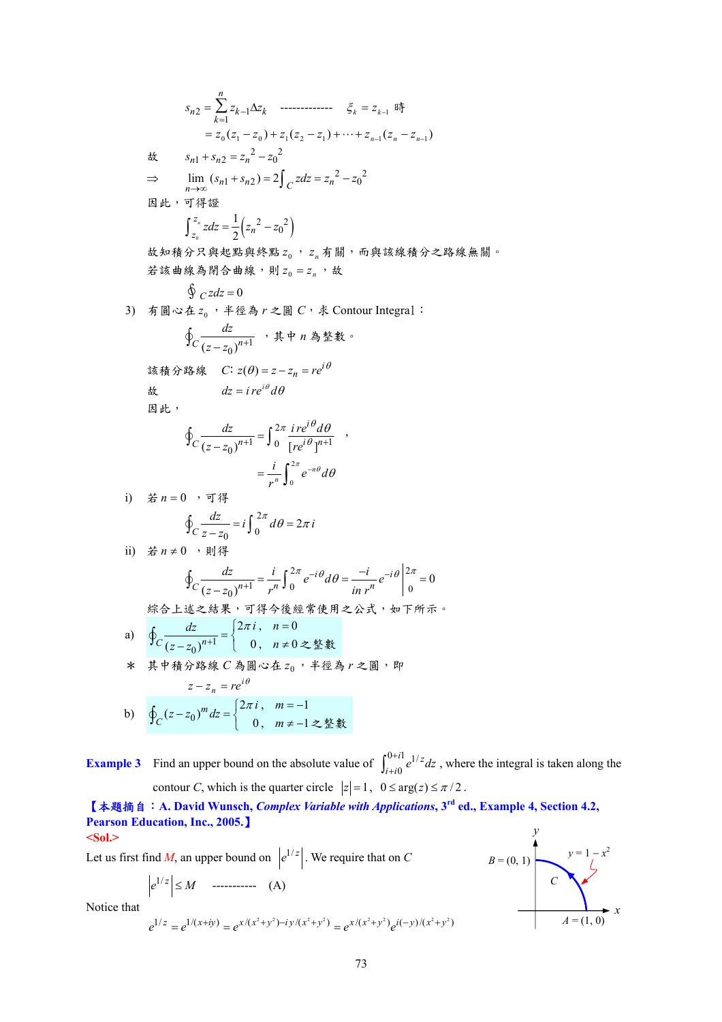$$
s_{n2} = \sum_{k=1}^{n} z_{k-1} \Delta z_{k} \quad \text{........}
$$
\n
$$
\xi_{k} = z_{k-1} \quad \text{if} \quad z_{k-1} = z_{k-1} \quad \text{if} \quad z_{k-1} = z_{k-1} \quad \text{if} \quad z_{k-1} = z_{k-1} \quad \text{if} \quad z_{k-1} = z_{k-1} \quad \text{if} \quad z_{k-1} = z_{k-1} \quad \text{if} \quad z_{k-1} = z_{k-1} \quad \text{if} \quad z_{k-1} = z_{k-1} \quad \text{if} \quad z_{k-1} = z_{k-1} \quad \text{if} \quad z_{k-1} = z_{k-1} \quad \text{if} \quad z_{k-1} = z_{k-1} \quad \text{if} \quad z_{k-1} = z_{k-1} \quad \text{if} \quad z_{k-1} = z_{k-1} \quad \text{if} \quad z_{k-1} = z_{k-1} \quad \text{if} \quad z_{k-1} = z_{k-1} \quad \text{if} \quad z_{k-1} = z_{k-1} \quad \text{if} \quad z_{k-1} = z_{k-1} \quad \text{if} \quad z_{k-1} = z_{k-1} \quad \text{if} \quad z_{k-1} = z_{k-1} \quad \text{if} \quad z_{k-1} = z_{k-1} \quad \text{if} \quad z_{k-1} = z_{k-1} \quad \text{if} \quad z_{k-1} = z_{k-1} \quad \text{if} \quad z_{k-1} = z_{k-1} \quad \text{if} \quad z_{k-1} = z_{k-1} \quad \text{if} \quad z_{k-1} = z_{k-1} \quad \text{if} \quad z_{k-1} = z_{k-1} \quad \text{if} \quad z_{k-1} = z_{k-1} \quad \text{if} \quad z_{k-1} = z_{k-1} \quad \text{if} \quad z_{k-1} = z_{k-1} \quad \text{if} \quad z_{k-1} = z_{k-1} \quad \text{if} \quad z_{k-1} = z_{k-1} \quad \text{if} \quad z_{k-1} = z_{k-1} \quad \text{if} \quad z_{k-1} = z_{k-1}
$$

**Example 3** Find an upper bound on the absolute value of  $\int_{-\infty}^{0+i1} e^{1/x} dx$  $\boldsymbol{0}$  $i$ <sup>1</sup>  $\frac{1}{2}$  $\int_{i+i0}^{0+i1} e^{1/z} dz$ , where the integral is taken along the contour *C*, which is the quarter circle  $|z| = 1$ ,  $0 \le \arg(z) \le \pi/2$ .

【本題摘自:**A. David Wunsch,** *Complex Variable with Applications***, 3rd ed., Example 4, Section 4.2, Pearson Education, Inc., 2005.**】 **<Sol.>**  *y* 

Let us first find *M*, an upper bound on  $|e^{1/z}|$ . We require that on *C* 

$$
\left|e^{1/z}\right| \leq M \quad \cdots \qquad (A)
$$

Notice that  
\n
$$
e^{1/z} = e^{1/(x+iy)} = e^{x/(x^2+y^2) - iy/(x^2+y^2)} = e^{x/(x^2+y^2)}e^{i(-y)/(x^2+y^2)}
$$

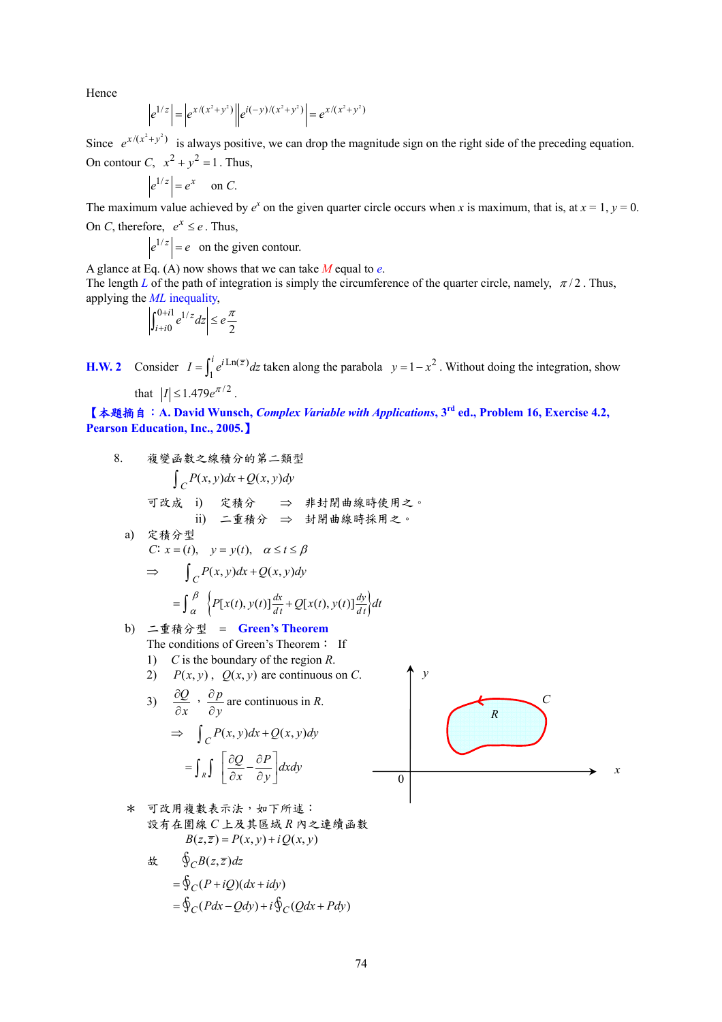Hence  

$$
\left|e^{1/z}\right| = \left|e^{x/(x^2+y^2)}\right| \left|e^{i(-y)/(x^2+y^2)}\right| = e^{x/(x^2+y^2)}
$$

Since  $e^{x/(x^2 + y^2)}$  is always positive, we can drop the magnitude sign on the right side of the preceding equation. On contour C,  $x^2 + y^2 = 1$ . Thus,

$$
\left|e^{1/z}\right| = e^x \quad \text{on } C.
$$

The maximum value achieved by  $e^x$  on the given quarter circle occurs when *x* is maximum, that is, at  $x = 1$ ,  $y = 0$ . On *C*, therefore,  $e^x \le e$ . Thus,

$$
\left|e^{1/z}\right| = e
$$
 on the given contour.

A glance at Eq. (A) now shows that we can take *M* equal to *e*. The length *L* of the path of integration is simply the circumference of the quarter circle, namely,  $\pi/2$ . Thus, applying the *ML* inequality,

$$
\left| \int_{i+i0}^{0+i1} e^{1/z} dz \right| \le e \frac{\pi}{2}
$$

**H.W. 2** Consider  $I = \int_1^i e^{i \text{Ln}(\bar{z})} dz$  taken along the parabola  $y = 1 - x^2$ . Without doing the integration, show that  $|I| \leq 1.479 e^{\pi/2}$ .

【本題摘自:**A. David Wunsch,** *Complex Variable with Applications***, 3rd ed., Problem 16, Exercise 4.2, Pearson Education, Inc., 2005.**】

8. 椤愛西數之線積分的第二類型  
\n
$$
\int_{C} P(x, y)dx + Q(x, y)dy
$$
\n可改成 1) 定積分 ⇒ 非封開曲線時使用之。  
\na)定積分型  
\nC: x = (t), y = y(t), α ≤ t ≤ β  
\n⇒ 
$$
\int_{C} P(x, y)dx + Q(x, y)dy
$$
\n
$$
= \int_{\alpha}^{\beta} \{P[x(t), y(t)]\frac{dx}{dt} + Q[x(t), y(t)]\frac{dy}{dt}\}dt
$$
\nb)  $\tilde{=}\n\quad\n\[\n\[\n\[\n\[\n\[\n\[\n\]\n\[\n\]\n\[\n\]\n\[\n\]\n\[\n\[\n\]\n\[\n\[\n\]\n\[\n\]\n\[\n\[\n\]\n\[\n\[\n\]\n\[\n\[\n\]\n\[\n\]\n\[\n\[\n\]\n\[\n\]\n\[\n\[\n\]\n\[\n\[\n\]\n\[\n\[\n\]\n\[\n\]\n\[\n\[\n\]\n\[\n\[\n\]\n\[\n\]\n\[\n\[\n\]\n\[\n\[\n\]\n\[\n\]\n\[\n\[\n\]\n\[\n\[\n\]\n\[\n\]\n\[\n\[\n\]\n\[\n\[\n\]\n\[\n\[\n\]\n\[\n\]\n\[\n\[\n\]\n\[\n\[\n\]\n\[\n\]\n\[\n\[\n\]\n\[\n\[\n\]\n\[\n\[\n\]\n\[\n\[\n\]\n\[\n\[\n\]\n\[\n\]\n\[\n\[\n\]\n\[\n\[\n\]\n\[\n\[\n\]\n\[\n\[\n\]\n\[\n\[\n\]\n\[\n\[\n\]\n\[\n\[\n\]\n\[\n\[\n\]\n\[\n\[\n\]\n\[\n\[\n\]\n\[\n\[\n\]\n\[\n\[\n\]\n\[\n\[\n\]\n\[\n\[\n\]\n\[\n\[\n\]\n\[\n\[\n\]\n\[\n\[\n\]\n\[\n\[\n\]\n\[\n\[\n\]\n\[\n\[\n\[\n\]\n\[\n\[\n\]\n\[\n\[\n\]\n\[\n\[\n\]\n\[\n\[\n\]\n\[\n\[\n\]\n\[\n\[\n\]\n\[\n\[\n\$ 

\* 『以用被数表示法,如ト所延・

\n設有在置線 C上及其區城 R内之連領画数

\n
$$
B(z,\overline{z}) = P(x,y) + iQ(x,y)
$$

$$
\begin{aligned} \n\text{#} \quad & \oint_C B(z, \overline{z}) \, dz \\ \n&= \oint_C (P + iQ)(dx + i dy) \\ \n&= \oint_C (P dx - Q dy) + i \oint_C (Q dx + P dy) \n\end{aligned}
$$

*x*

*C*

*R*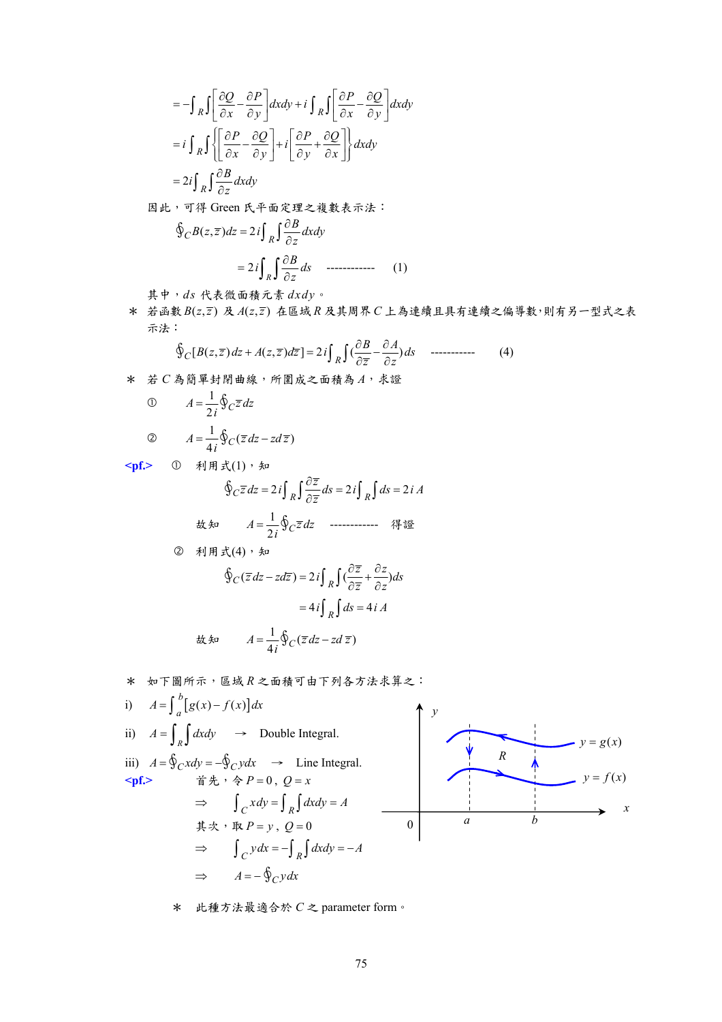$$
= -\int_{R} \int \left[ \frac{\partial Q}{\partial x} - \frac{\partial P}{\partial y} \right] dxdy + i \int_{R} \int \left[ \frac{\partial P}{\partial x} - \frac{\partial Q}{\partial y} \right] dxdy
$$

$$
= i \int_{R} \int \left\{ \left[ \frac{\partial P}{\partial x} - \frac{\partial Q}{\partial y} \right] + i \left[ \frac{\partial P}{\partial y} + \frac{\partial Q}{\partial x} \right] \right\} dxdy
$$

$$
= 2i \int_{R} \int \frac{\partial B}{\partial z} dxdy
$$

因此,可得 Green 氏平面定理之複數表示法:

$$
\oint_C B(z,\overline{z})dz = 2i \int_R \int \frac{\partial B}{\partial z} dxdy
$$

$$
= 2i \int_R \int \frac{\partial B}{\partial z} ds \quad \text{............} \tag{1}
$$

其中,*ds* 代表微面積元素 *dxdy*。

\* 若函數  $B(z,\overline{z})$  及  $A(z,\overline{z})$  在區域  $R$  及其周界  $C$  上為連續且具有連續之偏導數,則有另一型式之表 示法:

$$
\oint_C [B(z,\overline{z})dz + A(z,\overline{z})d\overline{z}] = 2i \int_R \int (\frac{\partial B}{\partial \overline{z}} - \frac{\partial A}{\partial z})ds \quad \text{............}
$$
 (4)

\* 若 *C* 為簡單封閉曲線,所圍成之面積為 *A*,求證

\n
$$
\begin{aligned}\n 0 & A &= \frac{1}{2i} \oint_C \overline{z} \, dz \\
 0 & A &= \frac{1}{4i} \oint_C (\overline{z} \, dz - z \, d\overline{z})\n \end{aligned}
$$
\n

<pf.> 1 利用式(1), 知

$$
\oint_C \overline{z} \, dz = 2i \int_R \int \frac{\partial \overline{z}}{\partial \overline{z}} \, ds = 2i \int_R \int ds = 2i A
$$

\n 
$$
A = \frac{1}{2i} \oint_C \overline{z} \, dz
$$
\n \n 
$$
A = \frac{1}{2i} \oint_C \overline{z} \, dz
$$
\n \n 
$$
A = \frac{1}{2i} \oint_C \overline{z} \, dz
$$
\n

$$
\oint_C (\overline{z} \, dz - z \, d\overline{z}) = 2i \int_R \int \left(\frac{\partial \overline{z}}{\partial \overline{z}} + \frac{\partial z}{\partial z}\right) ds
$$
\n
$$
= 4i \int_R \int ds = 4iA
$$

$$
\mathsf{d} \mathsf{L} \mathsf{f} \mathsf{d} \mathsf{d} \mathsf{d} \mathsf{d} \mathsf{d} \mathsf{d} \mathsf{d} \mathsf{d} \mathsf{d} \mathsf{d} \mathsf{d} \mathsf{d} \mathsf{d} \mathsf{d} \mathsf{d} \mathsf{d} \mathsf{d} \mathsf{d} \mathsf{d} \mathsf{d} \mathsf{d} \mathsf{d} \mathsf{d} \mathsf{d} \mathsf{d} \mathsf{d} \mathsf{d} \mathsf{d} \mathsf{d} \mathsf{d} \mathsf{d} \mathsf{d} \mathsf{d} \mathsf{d} \mathsf{d} \mathsf{d} \mathsf{d} \mathsf{d} \mathsf{d} \mathsf{d} \mathsf{d} \mathsf{d} \mathsf{d} \mathsf{d} \mathsf{d} \mathsf{d} \mathsf{d} \mathsf{d} \mathsf{d} \mathsf{d} \mathsf{d} \mathsf{d} \mathsf{d} \mathsf{d} \mathsf{d} \mathsf{d} \mathsf{d} \mathsf{d} \mathsf{d} \mathsf{d} \mathsf{d} \mathsf{d} \mathsf{d} \mathsf{d} \mathsf{d} \mathsf{d} \mathsf{d} \mathsf{d} \mathsf{d} \mathsf{d} \mathsf{d} \mathsf{d} \mathsf{d} \mathsf{d} \mathsf{d} \mathsf{d} \mathsf{d} \mathsf{d} \mathsf{d} \mathsf{d} \mathsf{d} \mathsf{d} \mathsf{d} \mathsf{d} \mathsf{d} \mathsf{d} \mathsf{d} \mathsf{d} \mathsf{d} \mathsf{d} \mathsf{d} \mathsf{d} \mathsf{d} \mathsf{d} \mathsf{d} \mathsf{d} \mathsf{d} \mathsf{d} \mathsf{d} \mathsf{d} \mathsf{d} \mathsf{d} \mathsf{d} \mathsf{d} \mathsf{d} \mathsf{d} \mathsf{d} \mathsf{d} \mathsf{d} \mathsf{d} \mathsf{d} \mathsf{d} \mathsf{d} \mathsf{d} \mathsf{d} \mathsf{d} \mathsf{d} \mathsf{d} \mathsf{d} \mathsf{d} \mathsf{d} \mathsf{d} \mathsf{d} \mathsf{
$$

★ 
$$
x \neq \pi \mathbb{B}
$$
  $m \neq 0$ 

\ni)  $A = \int_{a}^{b} [g(x) - f(x)] dx$ 

\nii)  $A = \int_{R}^{b} \int_{R}^{b} f(x) \, dx$ 

\niii)  $A = \oint_{C} x \, dy = -\oint_{C} y \, dx$   $\Rightarrow$  Line Integral.

\niv)  $A = \oint_{C} x \, dy = -\oint_{C} y \, dx$   $\Rightarrow$  Line Integral.

\nvi)  $A = \oint_{C} x \, dy = -\oint_{C} y \, dx$   $\Rightarrow$   $\int_{C} x \, dy = \int_{R} \int_{R} dx \, dy = A$ 

\niv)  $y = g(x)$ 

\nvi)  $B = \oint_{C} x \, dy = \oint_{R} \int_{R} dx \, dy = A$ 

\nvi)  $B = \oint_{C} y \, dx = -\oint_{R} \int_{R} dx \, dy = -A$ 

\nvi)  $B = \oint_{C} y \, dx = -\oint_{R} \int_{R} dx \, dy = -A$ 

\nvi)  $B = \oint_{C} y \, dx = -\oint_{C} y \, dx$ 

\* 此種方法最適合於 *C* 之 parameter form。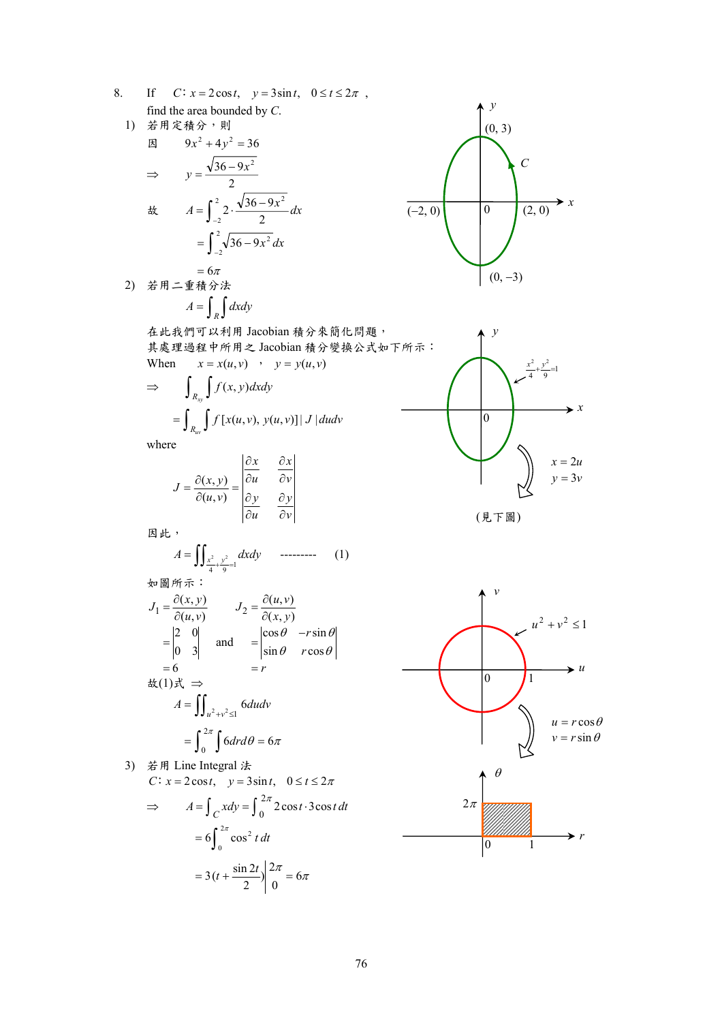- 8. If  $C: x = 2\cos t$ ,  $y = 3\sin t$ ,  $0 \le t \le 2\pi$ , find the area bounded by *C*.
	- 1) 若用定積分,則  $\text{B}$   $9x^2 + 4y^2 = 36$  $\Rightarrow y = \frac{\sqrt{36 - 9x^2}}{2}$ tx  $A = \int_{-2}^{2} 2 \cdot \frac{\sqrt{36-2}}{2}$ 2  $A = \int_{-2}^{2} 2 \cdot \frac{\sqrt{36 - 9x^2}}{2} dx$  $\sqrt[2]{36-9}$  $=\int_{-2}^{2} \sqrt{36-9x^2} dx$

\n
$$
\begin{aligned}\n &= 6\pi \\
 2) & \ddot{\hat{\pi}} \mathbb{H} - \hat{\mathbb{F}} \hat{\pi} \hat{\pi} \hat{\pi} \\
 &= \int_R \int dx \, dy\n \end{aligned}
$$
\n



*y*

 $|0\rangle$ 

*x*

 $y = 3v$  $x = 2u$ 

 $\frac{1}{4} + \frac{y}{9} = 1$ 2 ...2  $\frac{x^2}{2} + \frac{y^2}{2} =$ 

在此我們可以利用 Jacobian 積分來簡化問題, 其處理過程中所用之 Jacobian 積分變換公式如下所示: When  $x = x(u, v)$ ,  $y = y(u, v)$ 

$$
\Rightarrow \qquad \int_{R_{xy}} \int f(x, y) dx dy
$$

$$
= \int_{R_{uv}} \int f[x(u, v), y(u, v)] |J| dudv
$$

where

$$
J = \frac{\partial(x, y)}{\partial(u, v)} = \begin{vmatrix} \frac{\partial x}{\partial u} & \frac{\partial x}{\partial v} \\ \frac{\partial y}{\partial u} & \frac{\partial y}{\partial v} \end{vmatrix}
$$

因此,

$$
A = \iint_{\frac{x^2}{4} + \frac{y^2}{9} = 1} dxdy \qquad \qquad \text{---} \qquad (1)
$$

如圖所示:

$$
J_1 = \frac{\partial(x, y)}{\partial(u, v)} \qquad J_2 = \frac{\partial(u, v)}{\partial(x, y)}
$$
  
\n
$$
= \begin{vmatrix} 2 & 0 \\ 0 & 3 \end{vmatrix} \text{ and } = \begin{vmatrix} \cos \theta & -r \sin \theta \\ \sin \theta & r \cos \theta \end{vmatrix}
$$
  
\n
$$
= 6 \qquad = r
$$
  
\n
$$
\frac{dx(1)}{x} \Rightarrow A = \iint_{u^2 + v^2 \le 1} 6 du dv
$$
  
\n
$$
= \int_0^{2\pi} \int 6 dr d\theta = 6\pi
$$

- 3) 若用 Line Integral 法  $C: x = 2\cos t$ ,  $y = 3\sin t$ ,  $0 \le t \le 2\pi$ 
	- $\Rightarrow$   $A = \int_C x dy = \int_0^{2\pi} 2\cos t \cdot 3\cos t dt$  $\frac{2\pi}{0}$  = 6 $\pi$  $6 \int_{0}^{2\pi} \cos$  $=3(t+\frac{\sin 2t}{2})\bigg|_0^{2\pi}$ 0  $= 6 \int_0^{2\pi} \cos^2 t \, dt$

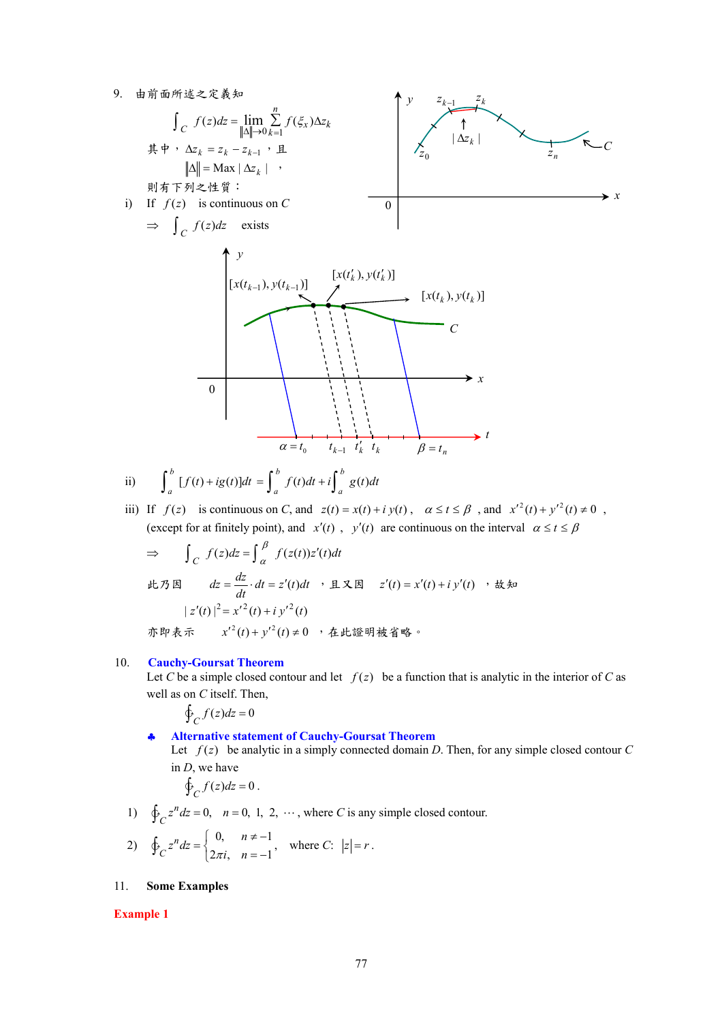9. 由前面所述之定義知



ii) 
$$
\int_a^b [f(t) + ig(t)]dt = \int_a^b f(t)dt + i \int_a^b g(t)dt
$$

iii) If  $f(z)$  is continuous on *C*, and  $z(t) = x(t) + iy(t)$ ,  $\alpha \le t \le \beta$ , and  $x'^2(t) + y'^2(t) \ne 0$ , (except for at finitely point), and *x'*(*t*), *y'*(*t*) are continuous on the interval  $\alpha \le t \le \beta$ 

$$
\Rightarrow \int_C f(z)dz = \int_{\alpha}^{\beta} f(z(t))z'(t)dt
$$
  
lt,  $\beta$  and  $dz = \frac{dz}{dt} \cdot dt = z'(t)dt$ ,  $\beta$  and  $z'(t) = x'(t) + iy'(t)$ ,  $\forall$  and  $|z'(t)|^2 = x'^2(t) + iy'^2(t)$   
 $\Rightarrow \exists x \in \mathbb{R}^n$ ,  $x'^2(t) + y'^2(t) \neq 0$ ,  $\forall$  and  $\forall$  and  $\forall$  and  $\forall$  and  $\forall$  and  $\forall$  and  $\forall$  and  $\forall$  and  $\forall$  and  $\forall$  and  $\forall$  and  $\forall$  and  $\forall$  and  $\forall$  and  $\forall$  and  $\forall$  and  $\forall$  and  $\forall$  and  $\forall$  and  $\forall$  and  $\forall$  and  $\forall$  and  $\forall$  and  $\forall$  and  $\forall$  and  $\forall$  and  $\forall$  and  $\forall$  and  $\forall$  and  $\forall$  and  $\forall$  and  $\forall$  and  $\forall$  and  $\forall$  and  $\forall$  and  $\forall$  and  $\forall$  and  $\forall$  and  $\forall$  and  $\forall$  and  $\forall$  and  $\forall$  and  $\forall$  and  $\forall$  and  $\forall$  and  $\forall$  and  $\forall$  and  $\forall$  and  $\forall$  and  $\forall$  and  $\forall$  and  $\forall$  and  $\forall$  and  $\forall$  and  $\forall$  and  $\forall$  and  $\forall$  and  $\forall$  and  $\forall$  and  $\forall$  and  $\forall$  and  $\forall$  and  $\forall$  and  $\forall$  and  $\forall$  and  $\forall$  and  $\forall$  and  $\forall$  and  $\forall$  and  $\forall$  and  $\forall$  and  $\forall$  and  $\forall$  and  $\forall$  and

#### 10. **Cauchy-Goursat Theorem**

Let *C* be a simple closed contour and let  $f(z)$  be a function that is analytic in the interior of *C* as well as on *C* itself. Then,

$$
\oint_C f(z)dz = 0
$$

### ♣ **Alternative statement of Cauchy-Goursat Theorem**

Let  $f(z)$  be analytic in a simply connected domain *D*. Then, for any simple closed contour *C* in *D*, we have

$$
\oint_C f(z)dz = 0.
$$

1)  $\oint_C z^n dz = 0$ ,  $n = 0, 1, 2, \cdots$ , where *C* is any simple closed contour.

2) 
$$
\oint_C z^n dz = \begin{cases} 0, & n \neq -1 \\ 2\pi i, & n = -1 \end{cases}
$$
, where *C*:  $|z| = r$ .

### 11. **Some Examples**

#### **Example 1**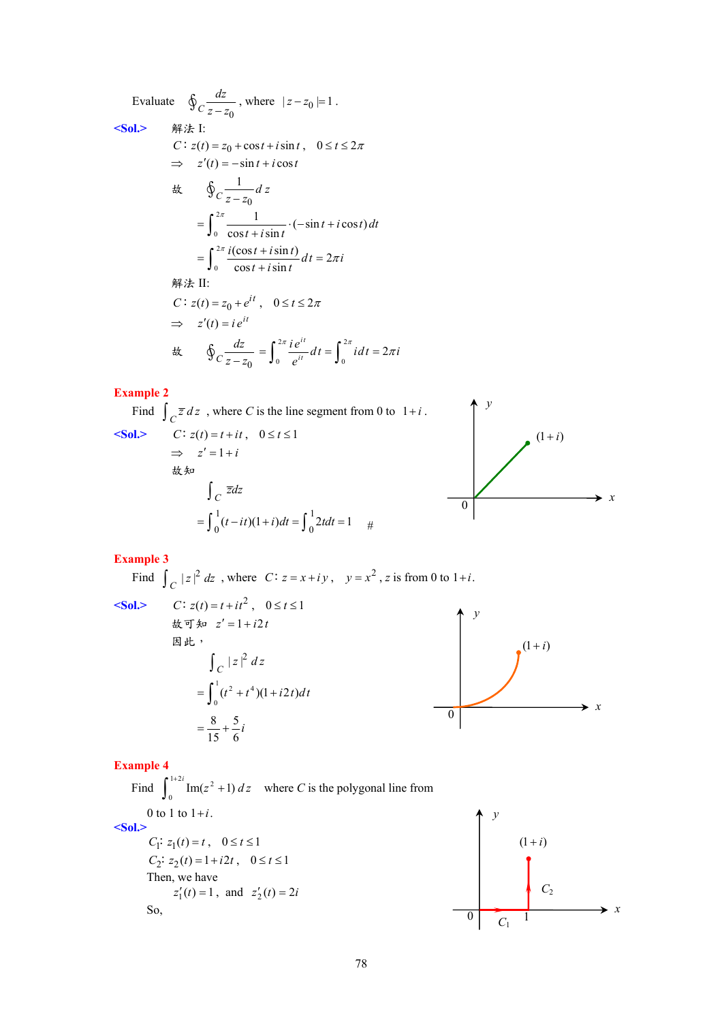Evaluate 
$$
\oint_C \frac{dz}{z - z_0}
$$
, where  $|z - z_0| = 1$ .  
\n $\Leftrightarrow$  **Sol.**  $\Rightarrow$   $\# \neq 1$ :  
\n $C: z(t) = z_0 + \cos t + i \sin t, \quad 0 \le t \le 2\pi$   
\n $\Rightarrow z'(t) = -\sin t + i \cos t$   
\n $\Leftrightarrow \oint_C \frac{1}{z - z_0} dz$   
\n $= \int_0^{2\pi} \frac{1}{\cos t + i \sin t} \cdot (-\sin t + i \cos t) dt$   
\n $= \int_0^{2\pi} \frac{i(\cos t + i \sin t)}{\cos t + i \sin t} dt = 2\pi i$   
\n $\# \neq \Pi$ :  
\n $C: z(t) = z_0 + e^{it}, \quad 0 \le t \le 2\pi$   
\n $\Rightarrow z'(t) = i e^{it}$   
\n $\Leftrightarrow \oint_C \frac{dz}{z - z_0} = \int_0^{2\pi} \frac{i e^{it}}{e^{it}} dt = \int_0^{2\pi} i dt = 2\pi i$ 

### **Example 2**

Find 
$$
\int_C \overline{z} dz
$$
, where C is the line segment from 0 to  $1+i$ .  
\n**Sol.** C:  $z(t) = t + it$ ,  $0 \le t \le 1$   
\n $\Rightarrow z' = 1 + i$   
\n $\& t \Rightarrow$   
\n $\int_C \overline{z} dz$   
\n $= \int_0^1 (t - it)(1 + i) dt = \int_0^1 2t dt = 1$ 

### **Example 3**

Find  $\int_C |z|^2 dz$ , where  $C: z = x + iy$ ,  $y = x^2$ , z is from 0 to 1+*i*.

 $\le$ **Sol.>**  $\qquad$  *C* is

C: 
$$
z(t) = t + it^2
$$
,  $0 \le t \le 1$   
\n $\&$   $\overline{z} = 1 + i2t$   
\n $\mathbb{E} \mathbb{E} \mathbb{E}$ ,  
\n
$$
\int_C |z|^2 dz
$$
\n
$$
= \int_0^1 (t^2 + t^4)(1 + i2t) dt
$$
\n
$$
= \frac{8}{15} + \frac{5}{6}i
$$



### **Example 4**

Find  $\int_0^{1+2i}$  Im( $z^2 + 1$ ) dz where *C* is the polygonal line from 0 to 1 to  $1+i$ . **<Sol.>**   $C_1$ :  $z_1(t) = t$ ,  $0 \le t \le 1$  $C_2$   $: z_2(t) = 1 + i2t$ ,  $0 \le t \le 1$ Then, we have  $z'_1(t) = 1$ , and  $z'_2(t) = 2i$ So,

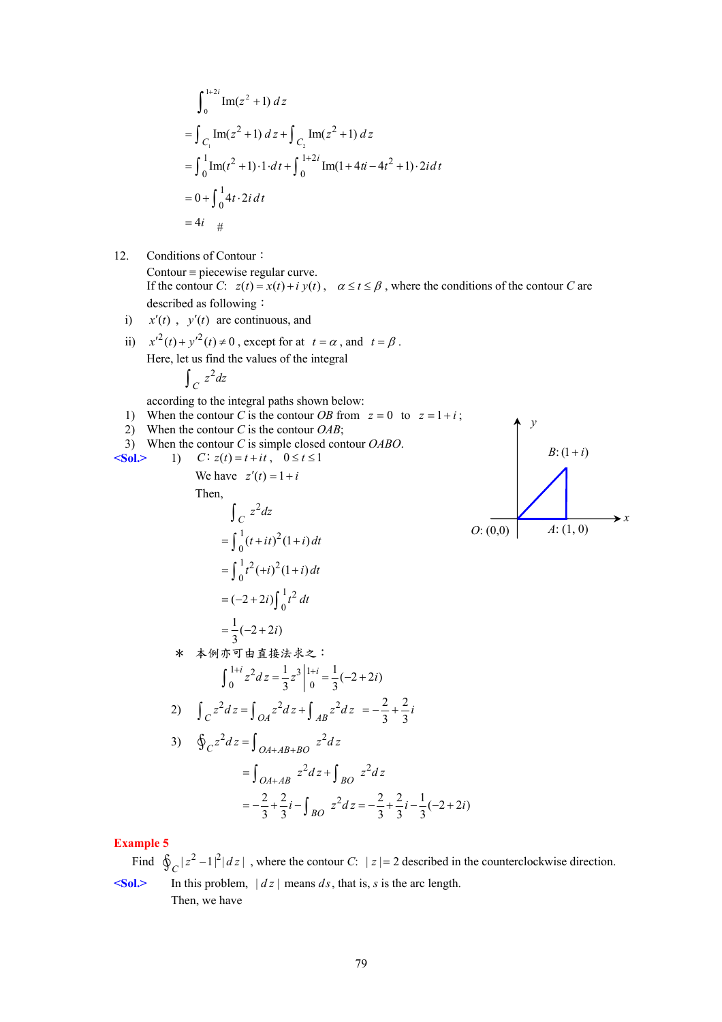$$
\int_0^{1+2i} \text{Im}(z^2 + 1) dz
$$
  
= 
$$
\int_{C_1} \text{Im}(z^2 + 1) dz + \int_{C_2} \text{Im}(z^2 + 1) dz
$$
  
= 
$$
\int_0^1 \text{Im}(t^2 + 1) \cdot 1 \cdot dt + \int_0^{1+2i} \text{Im}(1 + 4ti - 4t^2 + 1) \cdot 2i dt
$$
  
= 
$$
0 + \int_0^1 4t \cdot 2i dt
$$
  
= 
$$
4i + \frac{4}{5}
$$

12. Conditions of Contour:

 $\text{Contour} = \text{piecewise regular curve}.$ If the contour *C*:  $z(t) = x(t) + iy(t)$ ,  $\alpha \le t \le \beta$ , where the conditions of the contour *C* are described as following:

- i)  $x'(t)$ ,  $y'(t)$  are continuous, and
- ii)  $x'^2(t) + y'^2(t) \neq 0$ , except for at  $t = \alpha$ , and  $t = \beta$ . Here, let us find the values of the integral 2  $\int_C z^2 dz$

according to the integral paths shown below:

1) When the contour *C* is the contour *OB* from  $z = 0$  to  $z = 1 + i$ ;

 $^{1}$ <sub>+2</sub>

 $i) \int_{0}^{1} t^2 dt$ 

∫

 $(-2+2i)\int_0^1$ 

 $=(-2 +$ 

2) When the contour *C* is the contour *OAB*;

3) When the contour 
$$
C
$$
 is simple closed contour  $OABO$ .

$$
\begin{array}{lll}\n\text{Sol.} & 1) & C: z(t) = t + it, \quad 0 \le t \le 1 \\
\text{We have } z'(t) = 1 + i\n\end{array}
$$

Then,  
\n
$$
\int_C z^2 dz
$$
\n
$$
= \int_0^1 (t + it)^2 (1 + i) dt
$$
\n
$$
= \int_0^1 t^2 (+i)^2 (1 + i) dt
$$

$$
D: (1+i)
$$
\n
$$
D: (0,0)
$$
\n
$$
A: (1,0)
$$
\n
$$
x
$$

 $\sim$  100  $\pm$ 

<sup>1</sup> ( 2 2) 3 *i* = −+ \* 本例亦可由直接法求之: 1 2 3 1 0 0 1 1 ( 2 2) 3 3 *<sup>i</sup> <sup>i</sup> z dz z i* <sup>+</sup> <sup>+</sup> = = −+ ∫ 2) <sup>222</sup> *C OA AB z dz z dz z dz* = + ∫∫ ∫ *<sup>i</sup>* 3 2 3 <sup>2</sup> <sup>=</sup> <sup>−</sup> <sup>+</sup> 3) 2 2 *C OA AB BO z dz z dz* + + <sup>=</sup> ∮ ∫ 2 2 22 22 1 <sup>2</sup> ( 2 2) 33 33 3 *BO i z dz i i* =− + − =− + − − + ∫ *OA AB BO z dz z dz* <sup>+</sup> = + ∫ ∫

### **Example 5**

Find  $\oint_C |z^2 - 1|^2 |dz|$ , where the contour *C*:  $|z| = 2$  described in the counterclockwise direction.  $\leq$ Sol.> In this problem,  $|dz|$  means *ds*, that is, *s* is the arc length. Then, we have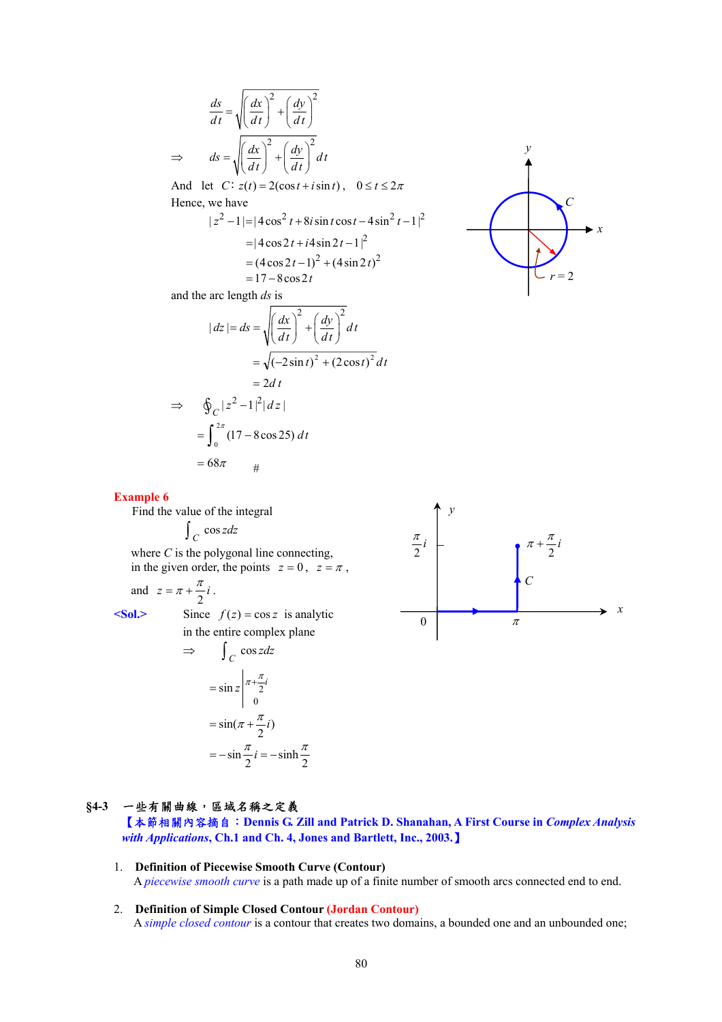$$
\frac{ds}{dt} = \sqrt{\left(\frac{dx}{dt}\right)^2 + \left(\frac{dy}{dt}\right)^2}
$$

$$
\Rightarrow \quad ds = \sqrt{\left(\frac{dx}{dt}\right)^2 + \left(\frac{dy}{dt}\right)^2} dt
$$

And let  $C: z(t) = 2(\cos t + i \sin t)$ ,  $0 \le t \le 2\pi$ Hence, we have

$$
|z^{2} - 1| = |4\cos^{2} t + 8i\sin t \cos t - 4\sin^{2} t - 1|^{2}
$$
  
= |4\cos 2t + i4\sin 2t - 1|<sup>2</sup>  
= (4\cos 2t - 1)<sup>2</sup> + (4\sin 2t)<sup>2</sup>  
= 17 - 8\cos 2t

and the arc length *ds* is

$$
|dz| = ds = \sqrt{\left(\frac{dx}{dt}\right)^2 + \left(\frac{dy}{dt}\right)^2} dt
$$
  

$$
= \sqrt{(-2\sin t)^2 + (2\cos t)^2} dt
$$
  

$$
= 2dt
$$
  

$$
\Rightarrow \oint_C |z^2 - 1|^2 |dz|
$$
  

$$
= \int_0^{2\pi} (17 - 8\cos 25) dt
$$



**Example 6** 

Find the value of the integral

$$
\int_C \cos z \, dz
$$

where *C* is the polygonal line connecting, in the given order, the points  $z = 0$ ,  $z = \pi$ ,

 $= 68\pi$  #

and 
$$
z = \pi + \frac{\pi}{2}i
$$
.

 $\leq$ **Sol.**> Since  $f(z) = \cos z$  is analytic in the entire complex plane

$$
\Rightarrow \int_C \cos z dz
$$
  
=  $\sin z \Big|_{0}^{\pi + \frac{\pi}{2}i}$   
=  $\sin(\pi + \frac{\pi}{2}i)$   
=  $-\sin \frac{\pi}{2}i = -\sinh \frac{\pi}{2}$ 



### **§4-3** 一些有關曲線,區域名稱之定義

【本節相關內容摘自:**Dennis G. Zill and Patrick D. Shanahan, A First Course in** *Complex Analysis with Applications***, Ch.1 and Ch. 4, Jones and Bartlett, Inc., 2003.**】

- 1. **Definition of Piecewise Smooth Curve (Contour)** A *piecewise smooth curve* is a path made up of a finite number of smooth arcs connected end to end.
- 2. **Definition of Simple Closed Contour (Jordan Contour)** A *simple closed contour* is a contour that creates two domains, a bounded one and an unbounded one;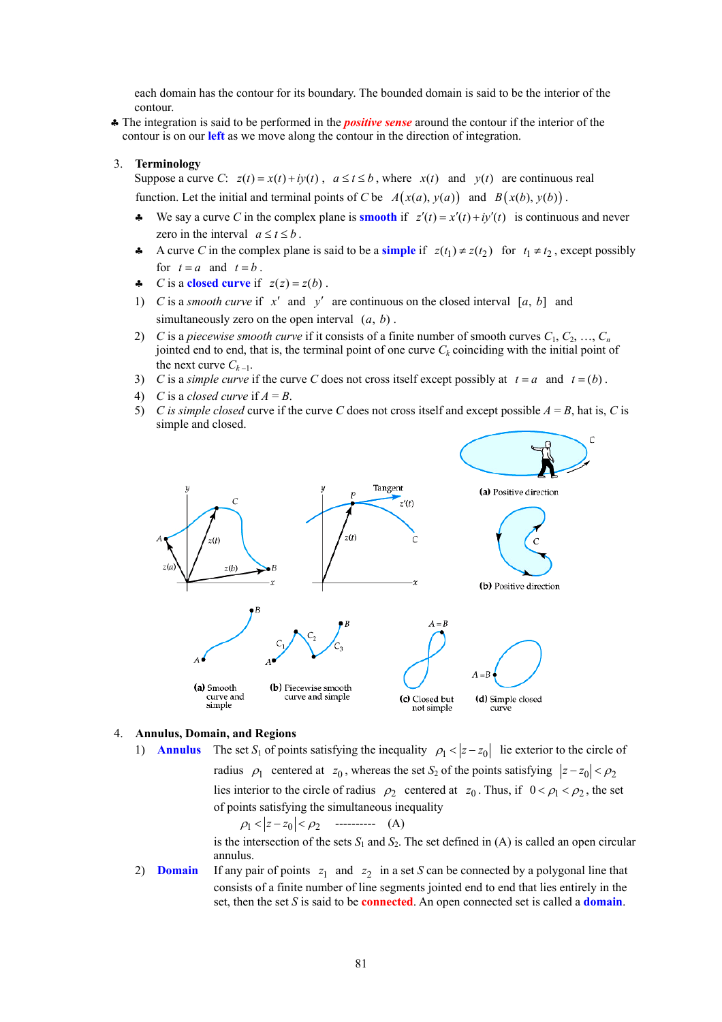each domain has the contour for its boundary. The bounded domain is said to be the interior of the contour.

♣ The integration is said to be performed in the *positive sense* around the contour if the interior of the contour is on our **left** as we move along the contour in the direction of integration.

#### 3. **Terminology**

Suppose a curve *C*:  $z(t) = x(t) + iy(t)$ ,  $a \le t \le b$ , where  $x(t)$  and  $y(t)$  are continuous real function. Let the initial and terminal points of *C* be  $A(x(a), y(a))$  and  $B(x(b), y(b))$ .

- We say a curve *C* in the complex plane is **smooth** if  $z'(t) = x'(t) + iy'(t)$  is continuous and never zero in the interval  $a \le t \le b$ .
- A curve *C* in the complex plane is said to be a **simple** if  $z(t_1) \neq z(t_2)$  for  $t_1 \neq t_2$ , except possibly for  $t = a$  and  $t = b$ .
- $\triangle$  *C* is a **closed curve** if  $z(z) = z(b)$ .
- 1) *C* is a *smooth curve* if  $x'$  and  $y'$  are continuous on the closed interval [a, b] and simultaneously zero on the open interval  $(a, b)$ .
- 2) *C* is a *piecewise smooth curve* if it consists of a finite number of smooth curves  $C_1, C_2, ..., C_n$ jointed end to end, that is, the terminal point of one curve  $C_k$  coinciding with the initial point of the next curve  $C_{k-1}$ .
- 3) *C* is a *simple curve* if the curve *C* does not cross itself except possibly at  $t = a$  and  $t = (b)$ .
- 4) *C* is a *closed curve* if  $A = B$ .
- 5) *C is simple closed* curve if the curve *C* does not cross itself and except possible  $A = B$ , hat is, *C* is simple and closed.



#### 4. **Annulus, Domain, and Regions**

1) **Annulus** The set  $S_1$  of points satisfying the inequality  $\rho_1 < |z - z_0|$  lie exterior to the circle of

radius  $\rho_1$  centered at  $z_0$ , whereas the set  $S_2$  of the points satisfying  $|z - z_0| < \rho_2$ lies interior to the circle of radius  $\rho_2$  centered at  $z_0$ . Thus, if  $0 < \rho_1 < \rho_2$ , the set of points satisfying the simultaneous inequality

1 02 <sup>ρ</sup> <− < *z z* <sup>ρ</sup> ---------- (A)

is the intersection of the sets  $S_1$  and  $S_2$ . The set defined in (A) is called an open circular annulus.

2) **Domain** If any pair of points  $z_1$  and  $z_2$  in a set *S* can be connected by a polygonal line that consists of a finite number of line segments jointed end to end that lies entirely in the set, then the set *S* is said to be **connected**. An open connected set is called a **domain**.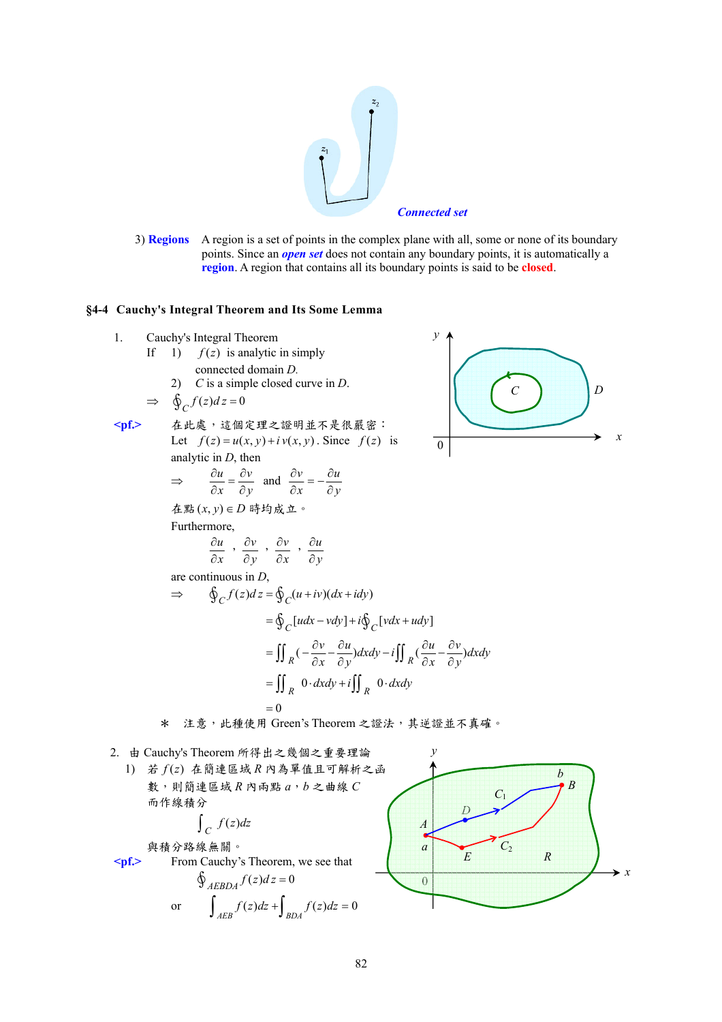

3) **Regions** A region is a set of points in the complex plane with all, some or none of its boundary points. Since an *open set* does not contain any boundary points, it is automatically a **region**. A region that contains all its boundary points is said to be **closed**.

*y*

#### **§4-4 Cauchy's Integral Theorem and Its Some Lemma**

- 1. Cauchy's Integral Theorem
	- If 1)  $f(z)$  is analytic in simply connected domain *D.* 
		- 2) *C* is a simple closed curve in *D*.

$$
\Rightarrow \quad \oint_C f(z)dz = 0
$$

**<pf.>** 在此處,這個定理之證明並不是很嚴密: Let  $f(z) = u(x, y) + i v(x, y)$ . Since  $f(z)$  is analytic in *D*, then

$$
\Rightarrow \qquad \frac{\partial u}{\partial x} = \frac{\partial v}{\partial y} \quad \text{and} \quad \frac{\partial v}{\partial x} = -\frac{\partial u}{\partial y}
$$

在點(*x*, *y*) ∈ *D* 時均成立。 Furthermore,

$$
\frac{\partial u}{\partial x}, \frac{\partial v}{\partial y}, \frac{\partial v}{\partial x}, \frac{\partial u}{\partial y}
$$

are continuous in *D*,

$$
\Rightarrow \oint_C f(z)dz = \oint_C (u+iv)(dx+idy)
$$
  
\n
$$
= \oint_C [udx-vdy] + i \oint_C [vdx+udy]
$$
  
\n
$$
= \iint_R (-\frac{\partial v}{\partial x} - \frac{\partial u}{\partial y})dxdy - i \iint_R (\frac{\partial u}{\partial x} - \frac{\partial v}{\partial y})dxdy
$$
  
\n
$$
= \iint_R 0 \cdot dxdy + i \iint_R 0 \cdot dxdy
$$
  
\n
$$
= 0
$$

$$
\begin{array}{c}\n\begin{pmatrix}\nC \\
C\n\end{pmatrix} & \\
\downarrow \\
\downarrow \\
\downarrow\n\end{array}
$$

- \* 注意,此種使用 Green's Theorem 之證法,其逆證並不真確。
- 2. 由 Cauchy's Theorem 所得出之幾個之重要理論 1) 若 *f* (*z*) 在簡連區域 *R* 內為單值且可解析之函 數,則簡連區域 *R* 內兩點 *a*,*b* 之曲線 *C*  而作線積分  $\int_C f(z) dz$ 與積分路線無關。 **<pf.>** From Cauchy's Theorem, we see that  $\oint_{AFBDA} f(z) dz = 0$ or  $\int_{AEB} f(z)dz + \int_{BDA} f(z)dz = 0$ *y x* 0 *D E R A a B b C*1 *C*<sup>2</sup>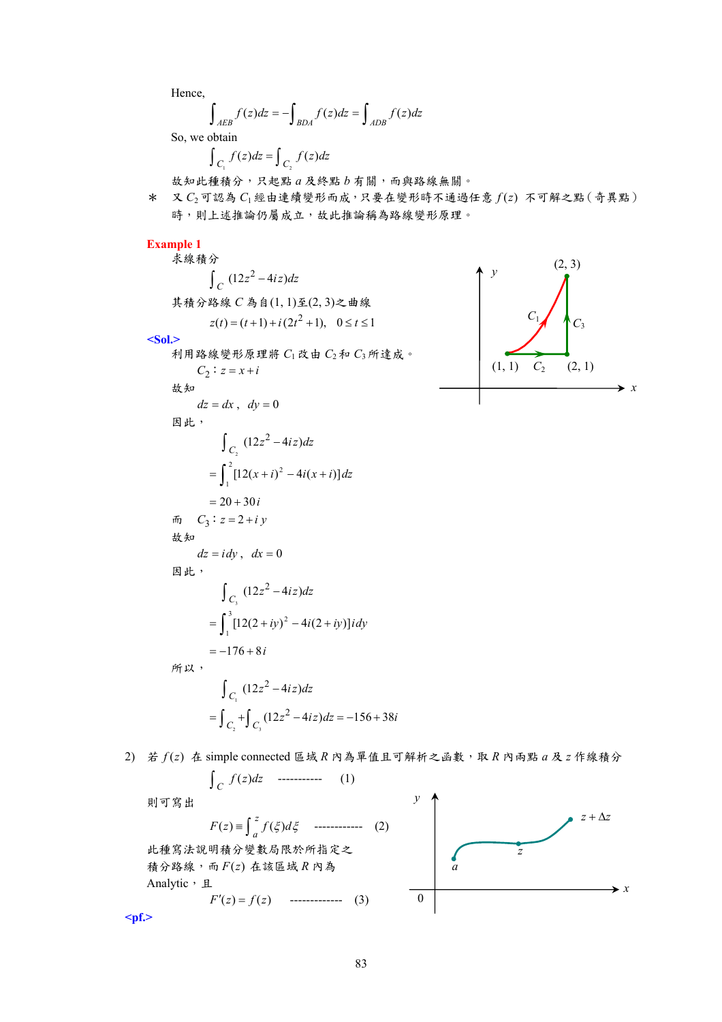Hence,

$$
\int_{AEB} f(z)dz = -\int_{BDA} f(z)dz = \int_{ADB} f(z)dz
$$

So, we obtain

$$
\int_{C_1} f(z)dz = \int_{C_2} f(z)dz
$$

故知此種積分,只起點 *a* 及終點 *b* 有關,而與路線無關。

\* 又 *C*2可認為 *C*1經由連續變形而成,只要在變形時不通過任意 *f* (*z*) 不可解之點(奇異點) 時,則上述推論仍屬成立,故此推論稱為路線變形原理。

#### **Example 1**

求線積分  $\int_C (12z^2 - 4iz) dz$ 其積分路線 *C* 為自(1, 1)至(2, 3)之曲線  $z(t) = (t+1) + i(2t^2 + 1), \quad 0 \le t \le 1$ **<Sol.>** 



$$
dz = dx, \quad dy = 0
$$
  
\n
$$
\Box E
$$
  
\n
$$
\int_{C_2} (12z^2 - 4iz)dz
$$
  
\n
$$
= \int_{1}^{2} [12(x + i)^2 - 4i(x + i)]dz
$$
  
\n
$$
= 20 + 30i
$$
  
\n
$$
\Box_{3} : z = 2 + i y
$$
  
\n
$$
\Box_{4} z
$$
  
\n
$$
dz = i dy, \quad dx = 0
$$
  
\n
$$
\Box_{4} z
$$
  
\n
$$
\int_{C_3} (12z^2 - 4iz)dz
$$
  
\n
$$
= \int_{1}^{3} [12(2 + iy)^2 - 4i(2 + iy)]i dy
$$
  
\n
$$
= -176 + 8i
$$
  
\n
$$
\Box_{C_1} (12z^2 - 4iz)dz
$$
  
\n
$$
= \int_{C_2}^{2} + \int_{C_3} (12z^2 - 4iz)dz = -156 + 38i
$$



 $2)$  若  $f(z)$  在 simple connected 區域  $R$  內為單值且可解析之函數, 取  $R$  內兩點  $a$  及  $z$  作線積分

$$
\int_C f(z)dz \quad \text{-----} \tag{1}
$$

則可寫出

 $F(z) = \int_{a}^{z} f(\xi) d\xi$  ------------ (2) 此種寫法說明積分變數局限於所指定之 積分路線,而 *F*(*z*) 在該區域 *R* 內為 Analytic, 且  $F'(z) = f(z)$  -------------- (3)



**<pf.>**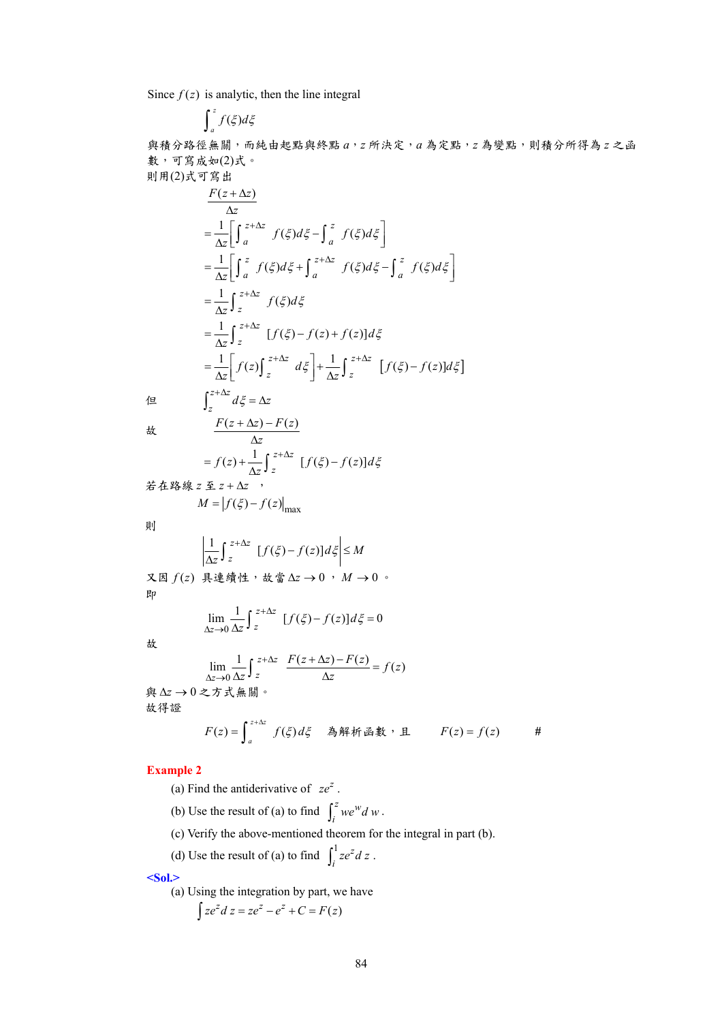Since  $f(z)$  is analytic, then the line integral

$$
\int_a^z f(\xi)d\xi
$$

與積分路徑無關,而純由起點與終點 *a*,*z* 所決定,*a* 為定點,*z* 為變點,則積分所得為 *z* 之函 數,可寫成如(2)式。 則用(2)式可寫出

$$
\frac{F(z+\Delta z)}{\Delta z}
$$
\n
$$
= \frac{1}{\Delta z} \Bigg[ \int_{a}^{z+\Delta z} f(\xi) d\xi - \int_{a}^{z} f(\xi) d\xi \Bigg]
$$
\n
$$
= \frac{1}{\Delta z} \Bigg[ \int_{a}^{z} f(\xi) d\xi + \int_{a}^{z+\Delta z} f(\xi) d\xi - \int_{a}^{z} f(\xi) d\xi \Bigg]
$$
\n
$$
= \frac{1}{\Delta z} \int_{z}^{z+\Delta z} f(\xi) d\xi
$$
\n
$$
= \frac{1}{\Delta z} \int_{z}^{z+\Delta z} [f(\xi) - f(z) + f(z)] d\xi
$$
\n
$$
= \frac{1}{\Delta z} \Bigg[ f(z) \int_{z}^{z+\Delta z} d\xi \Bigg] + \frac{1}{\Delta z} \int_{z}^{z+\Delta z} [f(\xi) - f(z)] d\xi \Bigg]
$$
\n
$$
\int_{z}^{z+\Delta z} d\xi = \Delta z
$$

$$
\frac{F(z + \Delta z) - F(z)}{\Delta z}
$$
\n
$$
= f(z) + \frac{1}{\Delta z} \int_{z}^{z + \Delta z} [f(\xi) - f(z)] d\xi
$$
\n
$$
\hat{z} + \hat{z} + \hat{z} \hat{z} + \hat{z} \hat{z}
$$

$$
M = |f(\xi) - f(z)|_{\text{max}}
$$

則

$$
\left|\frac{1}{\Delta z}\int_{z}^{z+\Delta z} [f(\xi)-f(z)]d\xi\right| \leq M
$$

又因 *f* (*z*) 具連續性,故當 ∆*z* → 0 , *M* → 0 。 即

$$
\lim_{\Delta z \to 0} \frac{1}{\Delta z} \int_{z}^{z+\Delta z} [f(\xi) - f(z)] d\xi = 0
$$

故

$$
\lim_{\Delta z \to 0} \frac{1}{\Delta z} \int_{z}^{z+\Delta z} \frac{F(z+\Delta z) - F(z)}{\Delta z} = f(z)
$$
\n
$$
\text{A} \& \Delta z \to 0 \& \Delta z \& \text{A} \& \text{B} \& \text{A} \& \text{B} \& \text{B} \& \text{B} \& \text{C} \& \text{D} = \int_{a}^{z+\Delta z} f(\xi) d\xi \quad \text{A} \& \text{B} \& \text{B} \& \text{C} \& \text{D} = f(z) \quad \text{B} \& \text{A} \& \text{B} \& \text{A} \& \text{B} \& \text{A} \& \text{B} \& \text{A} \& \text{B} \& \text{A} \& \text{B} \& \text{A} \& \text{B} \& \text{A} \& \text{B} \& \text{A} \& \text{B} \& \text{B} \& \text{B} \& \text{B} \& \text{C} \& \text{D} = f(z) \quad \text{A} \& \text{A} \& \text{B} \& \text{C} \& \text{D} \& \text{A} \& \text{A} \& \text{A} \& \text{A} \& \text{A} \& \text{A} \& \text{A} \& \text{A} \& \text{A} \& \text{A} \& \text{A} \& \text{A} \& \text{A} \& \text{A} \& \text{A} \& \text{A} \& \text{A} \& \text{A} \& \text{A} \& \text{A} \& \text{A} \& \text{A} \& \text{A} \& \text{A} \& \text{A} \& \text{A} \& \text{A} \& \text{A} \& \text{A} \& \text{A} \& \text{A} \& \text{A} \& \text{A
$$

$$
-\#
$$

### **Example 2**

故得證

- (a) Find the antiderivative of  $ze^{z}$ .
- (b) Use the result of (a) to find  $\int_i^z we^w d w$ .
- (c) Verify the above-mentioned theorem for the integral in part (b).
- (d) Use the result of (a) to find  $\int_1^1 ze^z$  $\int_i^1 ze^z dz$ .

**<Sol.>** 

(a) Using the integration by part, we have

$$
\int ze^z\,dz = ze^z - e^z + C = F(z)
$$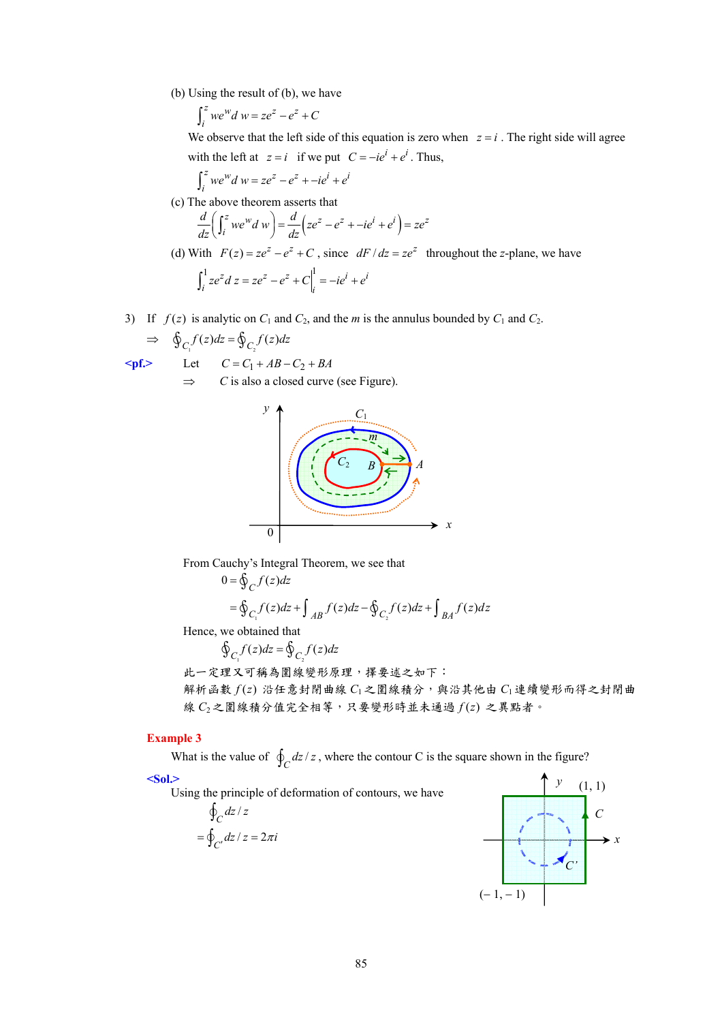(b) Using the result of (b), we have

$$
\int_i^z we^W d\,w = ze^z - e^z + C
$$

We observe that the left side of this equation is zero when  $z = i$ . The right side will agree with the left at  $z = i$  if we put  $C = -ie^{i} + e^{i}$ . Thus,

$$
\int_i^z we^Wd\ w = ze^z - e^z + -ie^i + e^i
$$

(c) The above theorem asserts that

$$
\frac{d}{dz}\left(\int_i^z we^w d w\right) = \frac{d}{dz}\left(ze^z - e^z + -ie^i + e^i\right) = ze^z
$$

- (d) With  $F(z) = ze^z e^z + C$ , since  $dF/dz = ze^z$  throughout the *z*-plane, we have  $\int_{a}^{1}$   $\sigma^{2} d\sigma = \sigma^{2}$   $\sigma^{2}$   $\sigma^{1}$   $\sigma^{1}$   $\sigma^{i}$   $\sigma^{i}$  $\int_{i}^{1} ze^{z} dz = ze^{z} - e^{z} + C\Big|_{i}^{1} = -ie^{i} + e^{i}$
- 3) If  $f(z)$  is analytic on  $C_1$  and  $C_2$ , and the *m* is the annulus bounded by  $C_1$  and  $C_2$ .

$$
\Rightarrow \quad \oint_{C_1} f(z)dz = \oint_{C_2} f(z)dz
$$

$$
\text{Spf.} \qquad \text{Let} \qquad C = C_1 + AB - C_2 + BA
$$

⇒ *C* is also a closed curve (see Figure).



From Cauchy's Integral Theorem, we see that

$$
0 = \oint_C f(z)dz
$$
  
= 
$$
\oint_{C_1} f(z)dz + \int_{AB} f(z)dz - \oint_{C_2} f(z)dz + \int_{BA} f(z)dz
$$

Hence, we obtained that

$$
\oint_{C_1} f(z)dz = \oint_{C_2} f(z)dz
$$

此一定理又可稱為圍線變形原理,擇要述之如下: 解析函數  $f(z)$  沿任意封閉曲線  $C_1$ 之圍線積分,與沿其他由  $C_1$ 連續變形而得之封閉曲 線 *C*2之圍線積分值完全相等,只要變形時並未通過 *f* (*z*) 之異點者。

*y* 

 $(-1, -1)$ 

*x*

*C*

### **Example 3**

What is the value of  $\oint_C dz/z$ , where the contour C is the square shown in the figure?

### **<Sol.>**

Using the principle of deformation of contours, we have  $\oint_C dz$  / z  $=\oint_{C'} dz / z = 2\pi i$  $(1, 1)$ *C'*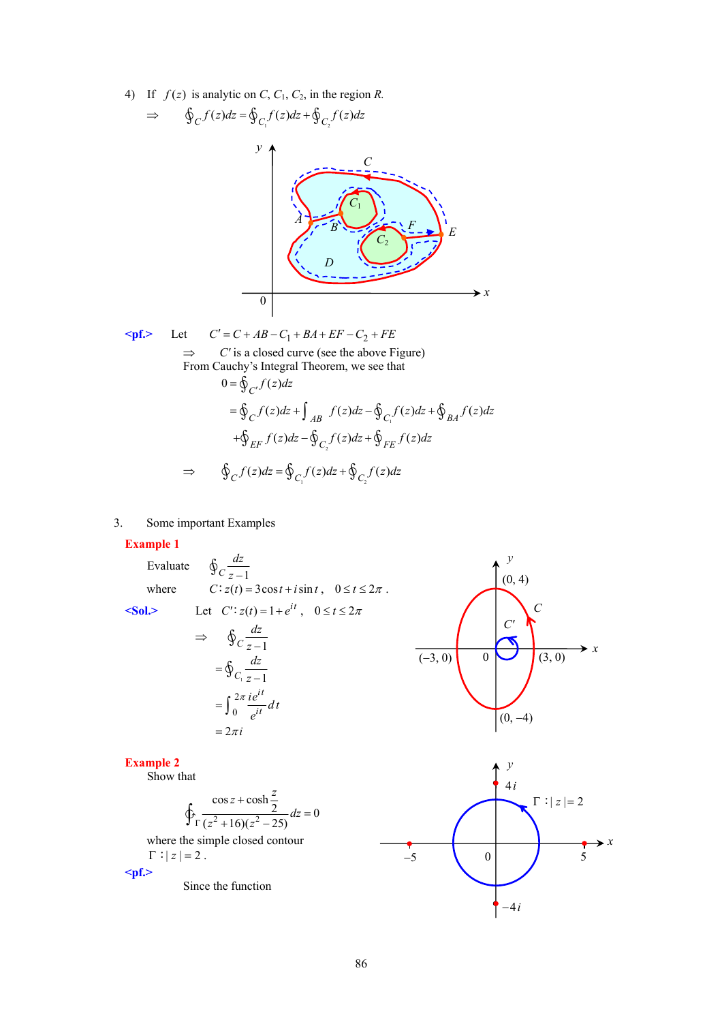4) If  $f(z)$  is analytic on *C*,  $C_1$ ,  $C_2$ , in the region *R*.



 $\leq$ **pf.>** Let  $C' = C + AB - C_1 + BA + EF - C_2 + FE$  $\Rightarrow$  *C'* is a closed curve (see the above Figure) From Cauchy's Integral Theorem, we see that  $=\oint_C f(z)dz + \int_{AB} f(z)dz - \oint_{C_1} f(z)dz + \oint_{BA} f(z)dz$  $0 = \oint_{C'} f(z) dz$ 

$$
\Rightarrow \qquad \oint_C f(z)dz = \oint_{C_1} f(z)dz + \oint_{C_2} f(z)dz
$$

 $+\oint_{EF} f(z)dz - \oint_{C_2} f(z)dz + \oint_{FE} f(z)dz$ 

3. Some important Examples

#### **Example 1**

# Evaluate  $\oint_C \frac{dz}{z-1}$ where  $C: z(t) = 3\cos t + i\sin t$ ,  $0 \le t \le 2\pi$ .

 $\leq S_0$ **l**,  $\geq$  Let  $C': z(t) = 1 + e^{it}$ ,  $0 \leq t \leq 2\pi$ 

$$
\Rightarrow \oint_C \frac{dz}{z-1}
$$
  
= 
$$
\oint_{C_1} \frac{dz}{z-1}
$$
  
= 
$$
\int_0^{2\pi} \frac{ie^{it}}{e^{it}} dt
$$
  
= 
$$
2\pi i
$$



#### **Example 2**

Show that

$$
\oint_{\Gamma} \frac{\cos z + \cosh \frac{z}{2}}{(z^2 + 16)(z^2 - 25)} dz = 0
$$

where the simple closed contour  $\Gamma$  :  $|z| = 2$ .

**<pf.>** 

Since the function

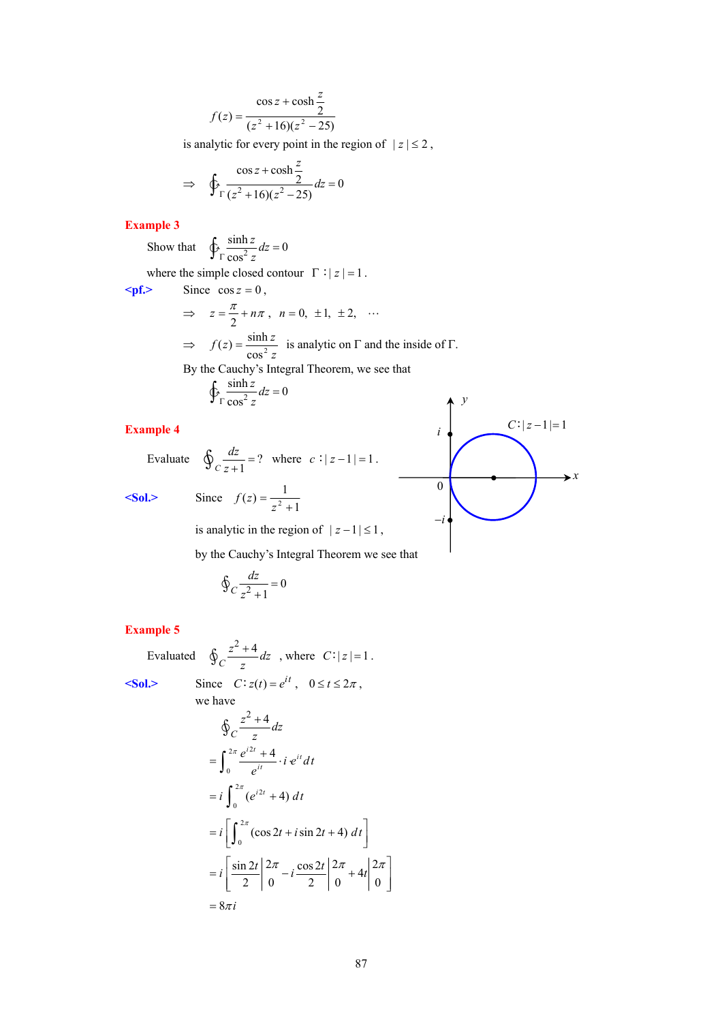$$
f(z) = \frac{\cos z + \cosh \frac{z}{2}}{(z^2 + 16)(z^2 - 25)}
$$

is analytic for every point in the region of  $|z| \leq 2$ ,

$$
\Rightarrow \oint_{\Gamma} \frac{\cos z + \cosh \frac{z}{2}}{(z^2 + 16)(z^2 - 25)} dz = 0
$$

### **Example 3**

Show that  $\oint_{\Gamma} \frac{\sinh z}{\cos^2 z} dz = 0$ cos  $\oint_{\Gamma} \frac{\sinh z}{\cos^2 z} dz =$ 

where the simple closed contour  $\Gamma : |z| = 1$ .

 $\epsilon$ **pf.>** Since  $\cos z = 0$ ,

$$
\Rightarrow z = \frac{\pi}{2} + n\pi, \quad n = 0, \pm 1, \pm 2, \quad \cdots
$$
  
\n
$$
\Rightarrow f(z) = \frac{\sinh z}{\cos^2 z} \text{ is analytic on } \Gamma \text{ and the inside of } \Gamma.
$$
  
\nBy the Cauchy's Integral Theorem, we see that  
\n
$$
\oint_{\Gamma} \frac{\sinh z}{\cos^2 z} dz = 0
$$

### **Example 4**

Evaluate  $\oint_{C} \frac{dz}{z+1} = ?$  $\oint_C \frac{dz}{z+1} = ?$  where  $c: |z-1| = 1$ .

**<Sol.>** Since

 $f(z) = \frac{1}{z^2 + 1}$ 

is analytic in the region of  $|z-1| \leq 1$ ,

by the Cauchy's Integral Theorem we see that

$$
\oint_C \frac{dz}{z^2 + 1} = 0
$$

**Example 5** 

Evaluated  $\oint_C \frac{z^2 + 4}{z^2}$  $\oint_C \frac{z^2 + 4}{z} dz$ , where  $C: |z| = 1$ .

 $\langle$ Sol.> Sin

$$
\begin{aligned}\n\text{c} &= C: z(t) = e^{it} \,, \quad 0 \le t \le 2\pi \,,\n\end{aligned}
$$

we have  
\n
$$
\oint_C \frac{z^2 + 4}{z} dz
$$

$$
\begin{aligned}\n&= \int_0^{2\pi} \frac{e^{i2t} + 4}{e^{it}} \cdot i e^{it} dt \\
&= i \int_0^{2\pi} (e^{i2t} + 4) dt \\
&= i \left[ \int_0^{2\pi} (\cos 2t + i \sin 2t + 4) dt \right] \\
&= i \left[ \frac{\sin 2t}{2} \right]_0^{2\pi} - i \frac{\cos 2t}{2} \left| \frac{2\pi}{0} + 4t \right|_0^{2\pi} \\
&= 8\pi i\n\end{aligned}
$$

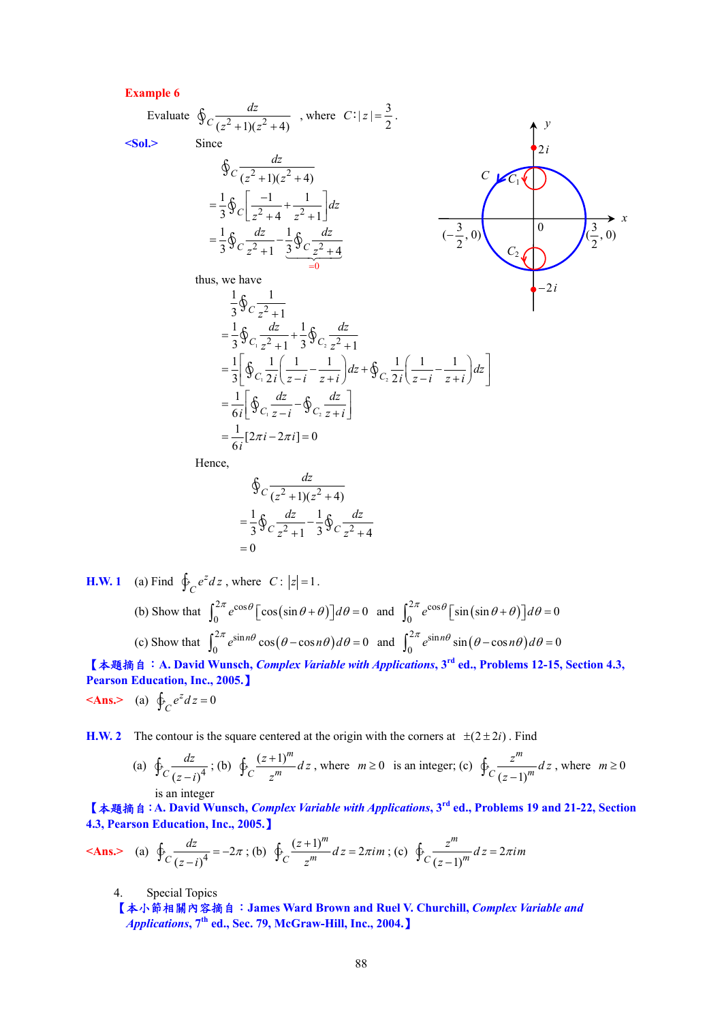#### **Example 6**

Evaluate 
$$
\oint_C \frac{dz}{(z^2 + 1)(z^2 + 4)}
$$
, where  $C: |z| = \frac{3}{2}$ .  
\n
$$
\oint_C \frac{dz}{(z^2 + 1)(z^2 + 4)}
$$
\n
$$
= \frac{1}{3} \oint_C \left[ \frac{-1}{z^2 + 4} + \frac{1}{z^2 + 1} \right] dz
$$
\n
$$
= \frac{1}{3} \oint_C \frac{dz}{z^2 + 1} - \frac{1}{3} \oint_C \frac{dz}{z^2 + 4}
$$
\nthus, we have  
\n
$$
\frac{1}{3} \oint_C \frac{dz}{z^2 + 1} + \frac{1}{3} \oint_C \frac{dz}{z^2 + 1}
$$
\n
$$
= \frac{1}{3} \oint_C \frac{dz}{z^2 + 1} + \frac{1}{3} \oint_C \frac{dz}{z^2 + 1}
$$
\n
$$
= \frac{1}{3} \left[ \oint_C \frac{dz}{z^2 + 1} - \frac{1}{z + i} \right] dz + \oint_C \frac{1}{2i} \left( \frac{1}{z - i} - \frac{1}{z + i} \right) dz
$$
\n
$$
= \frac{1}{6i} \left[ \oint_C \frac{dz}{z - i} - \oint_C \frac{dz}{z + i} \right]
$$
\n
$$
= \frac{1}{6i} [2\pi i - 2\pi i] = 0
$$
\nHence,

$$
\oint_C \frac{dz}{(z^2 + 1)(z^2 + 4)}
$$
  
=  $\frac{1}{3} \oint_C \frac{dz}{z^2 + 1} - \frac{1}{3} \oint_C \frac{dz}{z^2 + 4}$   
= 0

**H.W. 1** (a) Find  $\oint_C e^z dz$ , where *C*:  $|z|=1$ .

(b) Show that 
$$
\int_0^{2\pi} e^{\cos\theta} \left[ \cos(\sin\theta + \theta) \right] d\theta = 0 \text{ and } \int_0^{2\pi} e^{\cos\theta} \left[ \sin(\sin\theta + \theta) \right] d\theta = 0
$$
  
(c) Show that 
$$
\int_0^{2\pi} e^{\sin n\theta} \cos(\theta - \cos n\theta) d\theta = 0 \text{ and } \int_0^{2\pi} e^{\sin n\theta} \sin(\theta - \cos n\theta) d\theta = 0
$$

【本題摘自:**A. David Wunsch,** *Complex Variable with Applications***, 3rd ed., Problems 12-15, Section 4.3, Pearson Education, Inc., 2005.**】

$$
\langle \mathbf{Ans.} \rangle \quad \text{(a)} \ \oint_C e^z \, dz = 0
$$

**H.W. 2** The contour is the square centered at the origin with the corners at  $\pm(2 \pm 2i)$ . Find

(a) 
$$
\oint_C \frac{dz}{(z-i)^4}
$$
; (b)  $\oint_C \frac{(z+1)^m}{z^m} dz$ , where  $m \ge 0$  is an integer; (c)  $\oint_C \frac{z^m}{(z-1)^m} dz$ , where  $m \ge 0$  is an integer

【本題摘自:**A. David Wunsch,** *Complex Variable with Applications***, 3rd ed., Problems 19 and 21-22, Section 4.3, Pearson Education, Inc., 2005.**】

$$
\textbf{
$$

4. Special Topics

【本小節相關內容摘自:**James Ward Brown and Ruel V. Churchill,** *Complex Variable and Applications***, 7th ed., Sec. 79, McGraw-Hill, Inc., 2004.**】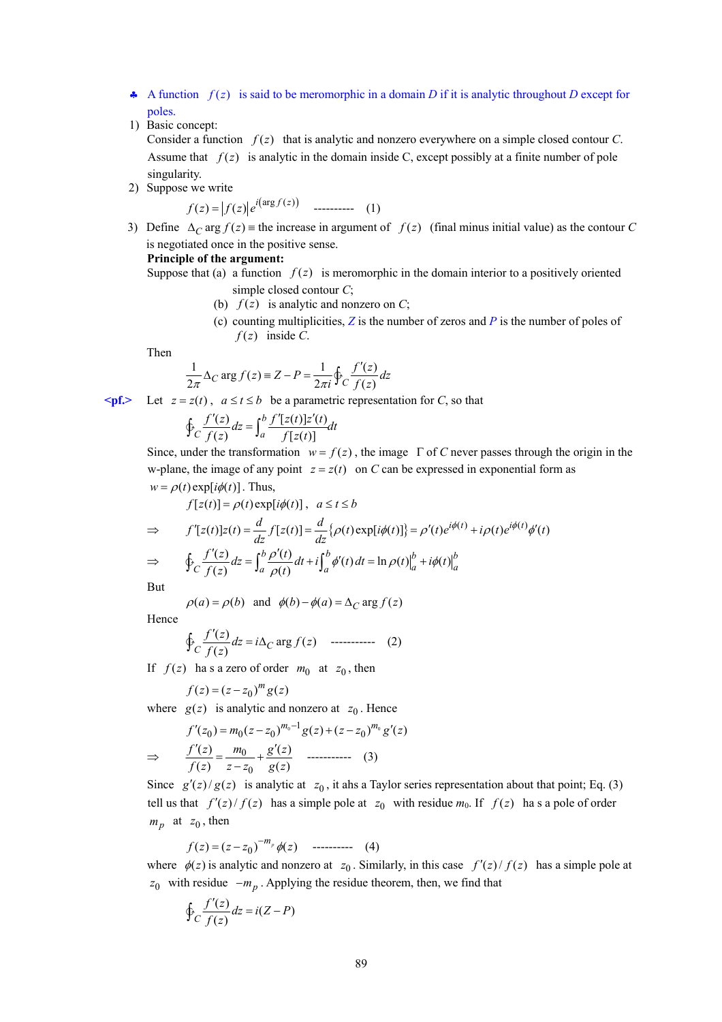- $\clubsuit$  A function  $f(z)$  is said to be meromorphic in a domain *D* if it is analytic throughout *D* except for poles.
- 1) Basic concept:

Consider a function  $f(z)$  that is analytic and nonzero everywhere on a simple closed contour *C*. Assume that  $f(z)$  is analytic in the domain inside C, except possibly at a finite number of pole singularity.

2) Suppose we write

 $f(z) = |f(z)| e^{i(\arg f(z))}$  ---------- (1)

3) Define  $\Delta_C \arg f(z) =$  the increase in argument of  $f(z)$  (final minus initial value) as the contour *C* is negotiated once in the positive sense.

#### **Principle of the argument:**

- Suppose that (a) a function  $f(z)$  is meromorphic in the domain interior to a positively oriented simple closed contour *C*;
	- (b)  $f(z)$  is analytic and nonzero on *C*;
	- (c) counting multiplicities, *Z* is the number of zeros and *P* is the number of poles of  $f(z)$  inside *C*.

Then

$$
\frac{1}{2\pi} \Delta_C \arg f(z) \equiv Z - P = \frac{1}{2\pi i} \oint_C \frac{f'(z)}{f(z)} dz
$$

**≤pf.>** Let  $z = z(t)$ ,  $a ≤ t ≤ b$  be a parametric representation for *C*, so that

$$
\oint_C \frac{f'(z)}{f(z)} dz = \int_a^b \frac{f'[z(t)]z'(t)}{f[z(t)]} dt
$$

Since, under the transformation  $w = f(z)$ , the image  $\Gamma$  of *C* never passes through the origin in the w-plane, the image of any point  $z = z(t)$  on *C* can be expressed in exponential form as  $w = \rho(t) \exp[i\phi(t)]$ . Thus,

$$
f[z(t)] = \rho(t) \exp[i\phi(t)], \quad a \le t \le b
$$
  
\n
$$
\Rightarrow \qquad f'[z(t)]z(t) = \frac{d}{dz}f[z(t)] = \frac{d}{dz}\{\rho(t) \exp[i\phi(t)]\} = \rho'(t)e^{i\phi(t)} + i\rho(t)e^{i\phi(t)}\phi'(t)
$$
  
\n
$$
\Rightarrow \qquad \oint_C \frac{f'(z)}{f(z)} dz = \int_a^b \frac{\rho'(t)}{\rho(t)} dt + i \int_a^b \phi'(t) dt = \ln \rho(t) \Big|_a^b + i\phi(t) \Big|_a^b
$$

But

 $\rho(a) = \rho(b)$  and  $\phi(b) - \phi(a) = \Delta_C \arg f(z)$ 

Hence

$$
\oint_C \frac{f'(z)}{f(z)} dz = i\Delta_C \arg f(z) \quad \text{............} \quad (2)
$$

If  $f(z)$  has a zero of order  $m_0$  at  $z_0$ , then

$$
f(z) = (z - z_0)^m g(z)
$$

where  $g(z)$  is analytic and nonzero at  $z_0$ . Hence

$$
f'(z_0) = m_0(z - z_0)^{m_0 - 1} g(z) + (z - z_0)^{m_0} g'(z)
$$
  
\n
$$
\Rightarrow \qquad \frac{f'(z)}{f(z)} = \frac{m_0}{z - z_0} + \frac{g'(z)}{g(z)} \qquad \qquad (3)
$$

Since  $g'(z)/g(z)$  is analytic at  $z_0$ , it ahs a Taylor series representation about that point; Eq. (3) tell us that  $f'(z)/f(z)$  has a simple pole at  $z_0$  with residue  $m_0$ . If  $f(z)$  has a pole of order  $m_p$  at  $z_0$ , then

$$
f(z) = (z - z_0)^{-m_p} \phi(z) \quad \text{---} \quad (4)
$$

where  $\phi(z)$  is analytic and nonzero at  $z_0$ . Similarly, in this case  $f'(z)/f(z)$  has a simple pole at  $z_0$  with residue  $-m_p$ . Applying the residue theorem, then, we find that

$$
\oint_C \frac{f'(z)}{f(z)} dz = i(Z - P)
$$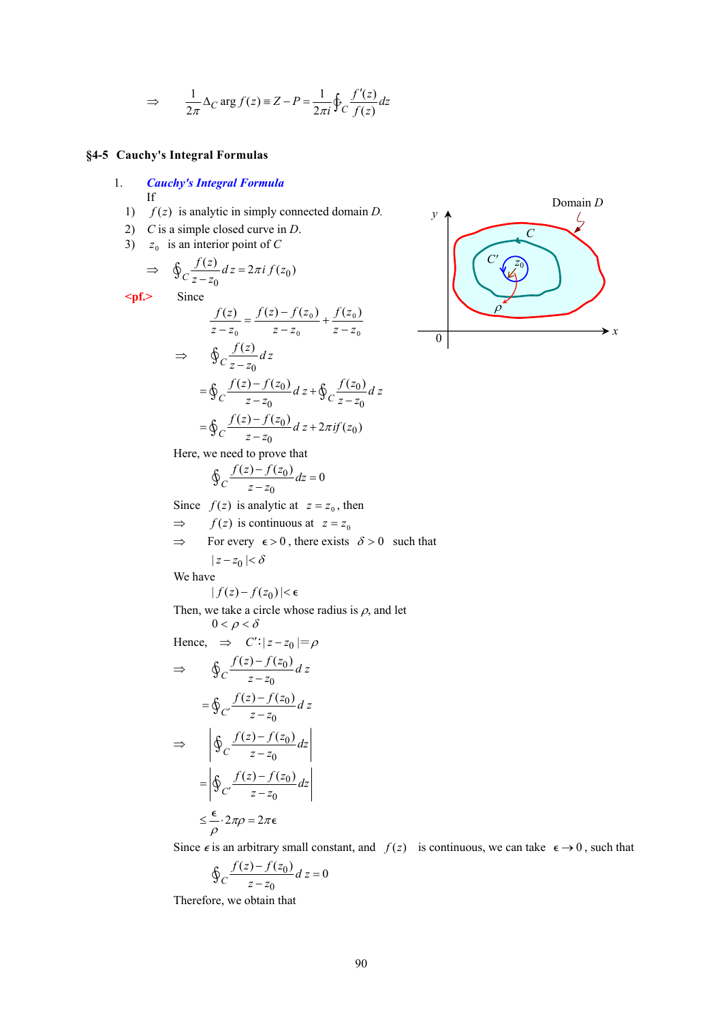$$
\Rightarrow \qquad \frac{1}{2\pi} \Delta_C \arg f(z) \equiv Z - P = \frac{1}{2\pi i} \oint_C \frac{f'(z)}{f(z)} dz
$$

### **§4-5 Cauchy's Integral Formulas**

- 1. *Cauchy's Integral Formula* If
	- 1) *f* (*z*) is analytic in simply connected domain *D.*
	- 2) *C* is a simple closed curve in *D*.
	- 3)  $z_0$  is an interior point of *C*

$$
\Rightarrow \quad \oint_C \frac{f(z)}{z - z_0} dz = 2\pi i f(z_0)
$$

**<pf.>** Since

$$
\frac{f(z)}{z - z_0} = \frac{f(z) - f(z_0)}{z - z_0} + \frac{f(z_0)}{z - z_0}
$$
  
\n
$$
\Rightarrow \quad \oint_C \frac{f(z)}{z - z_0} dz
$$
  
\n
$$
= \oint_C \frac{f(z) - f(z_0)}{z - z_0} dz + \oint_C \frac{f(z_0)}{z - z_0} dz
$$
  
\n
$$
= \oint_C \frac{f(z) - f(z_0)}{z - z_0} dz + 2\pi i f(z_0)
$$



Here, we need to prove that

$$
\oint_C \frac{f(z) - f(z_0)}{z - z_0} dz = 0
$$

Since  $f(z)$  is analytic at  $z = z_0$ , then

 $\Rightarrow$  *f*(*z*) is continuous at  $z = z_0$ 

 $\Rightarrow$  For every  $\epsilon > 0$ , there exists  $\delta > 0$  such that

$$
\mid\! z-z_0\!mid<\! \delta
$$

We have

$$
|f(z) - f(z_0)| < \epsilon
$$

Then, we take a circle whose radius is  $\rho$ , and let  $0 < \rho < \delta$ 

Hence,  $\Rightarrow$   $C'$  :  $|z - z_0| = \rho$ 

$$
\Rightarrow \oint_C \frac{f(z) - f(z_0)}{z - z_0} dz
$$

$$
= \oint_C \frac{f(z) - f(z_0)}{z - z_0} dz
$$

$$
\Rightarrow \left| \oint_C \frac{f(z) - f(z_0)}{z - z_0} dz \right|
$$

$$
= \left| \oint_C \frac{f(z) - f(z_0)}{z - z_0} dz \right|
$$

$$
\leq \frac{\epsilon}{\rho} \cdot 2\pi\rho = 2\pi\epsilon
$$

Since  $\epsilon$  is an arbitrary small constant, and  $f(z)$  is continuous, we can take  $\epsilon \to 0$ , such that

$$
\oint_C \frac{f(z) - f(z_0)}{z - z_0} dz = 0
$$

Therefore, we obtain that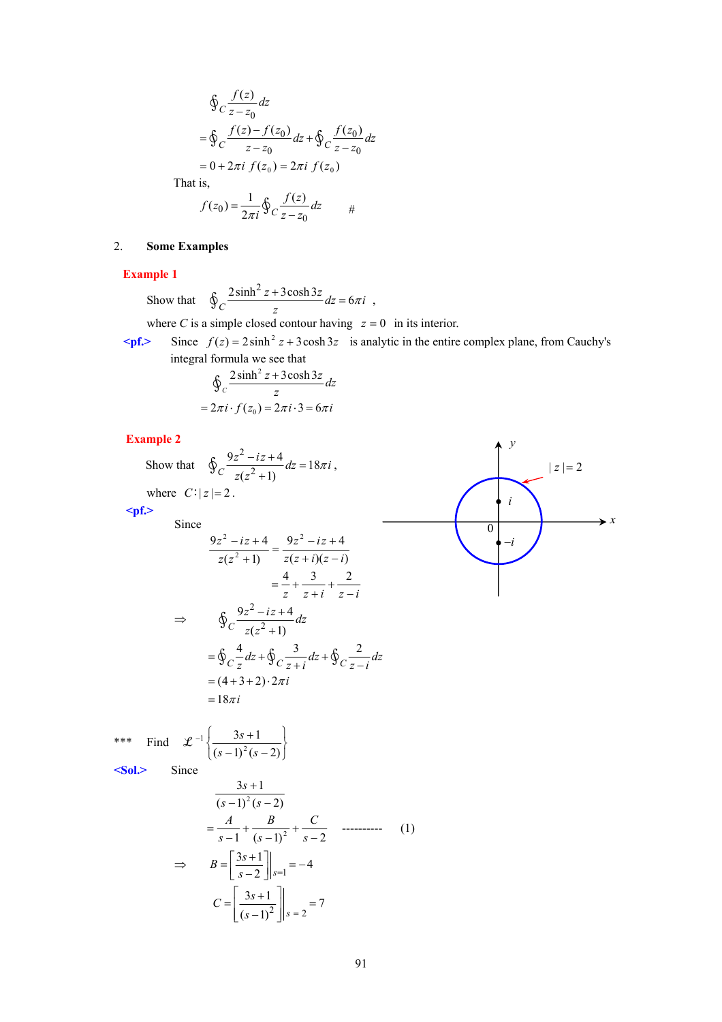$$
\oint_C \frac{f(z)}{z - z_0} dz
$$
\n
$$
= \oint_C \frac{f(z) - f(z_0)}{z - z_0} dz + \oint_C \frac{f(z_0)}{z - z_0} dz
$$
\n
$$
= 0 + 2\pi i f(z_0) = 2\pi i f(z_0)
$$
\nt is,

That

$$
f(z_0) = \frac{1}{2\pi i} \oint_C \frac{f(z)}{z - z_0} dz
$$

### 2. **Some Examples**

**Example 1** 

Show that  $\oint_C \frac{2\sinh^2 z + 3\cosh 3z}{z} dz = 6\pi i$ ,

where *C* is a simple closed contour having  $z = 0$  in its interior.

 $\epsilon_{\text{pf}}$  Since  $f(z) = 2 \sinh^2 z + 3 \cosh 3z$  is analytic in the entire complex plane, from Cauchy's integral formula we see that

$$
\oint_C \frac{2\sinh^2 z + 3\cosh 3z}{z} dz
$$
  
=  $2\pi i \cdot f(z_0) = 2\pi i \cdot 3 = 6\pi i$ 

**Example 2** 

**Example 2**  
\nShow that 
$$
\oint_C \frac{9z^2 - iz + 4}{z(z^2 + 1)} dz = 18\pi i
$$
,  
\nwhere  $C: |z| = 2$ .  
\nSince  
\n $\frac{9z^2 - iz + 4}{z(z^2 + 1)} = \frac{9z^2 - iz + 4}{z(z + i)(z - i)}$   
\n $= \frac{4}{z} + \frac{3}{z + i} + \frac{2}{z - i}$   
\n $\Rightarrow \oint_C \frac{9z^2 - iz + 4}{z(z^2 + 1)} dz$   
\n $= \oint_C \frac{4}{z} dz + \oint_C \frac{3}{z + i} dz + \oint_C \frac{2}{z - i} dz$   
\n $= (4 + 3 + 2) \cdot 2\pi i$   
\n $= 18\pi i$   
\n**Example 2**  
\n $\Rightarrow \oint_C \frac{9z^2 - iz + 4}{z(z^2 + 1)} dz$   
\n $= \oint_C \frac{4}{z} dz + \oint_C \frac{2}{z - i} dz$   
\n $= (4 + 3 + 2) \cdot 2\pi i$   
\n $= 18\pi i$   
\n**Example 3**  
\n $= 18\pi i$   
\n**Example 4**  
\n $= (4 + 3 + 2) \cdot 2\pi i$   
\n $= 18\pi i$   
\n**Example 5**  
\n $\Rightarrow 18\pi i$   
\n $\frac{3s + 1}{(s - 1)^2 (s - 2)}$   
\n $= \frac{A}{s - 1} + \frac{B}{(s - 1)^2} + \frac{C}{s - 2}$  ......... (1)  
\n $\Rightarrow B = \left[\frac{3s + 1}{s - 2}\right]_{s = 1} = -4$   
\n $C = \left[\frac{3s + 1}{(s - 1)^2}\right]_{s = 2} = 7$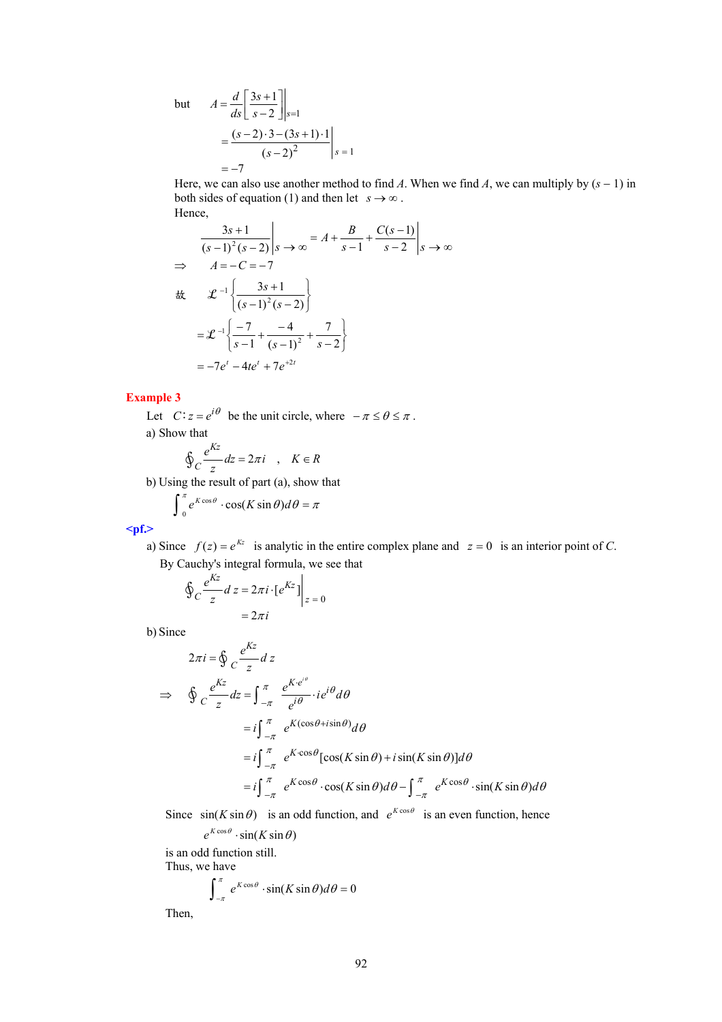but  $A = \frac{a}{ds} \left| \frac{3s+1}{s-2} \right|_{s=1}$  $3s + 1$  $A = \frac{d}{ds} \left[ \frac{3s+1}{s-2} \right] \bigg|_{s=0}$ 2  $\vert s=1$  $(s-2) \cdot 3 - (3s+1) \cdot 1$  $(s-2)^2$  |s  $=-7$  $(s-2) \cdot 3 - (3s)$  $=\frac{(s-2)\cdot3-(3s+1)\cdot1}{(s-2)^2}$  s =

Here, we can also use another method to find *A*. When we find *A*, we can multiply by  $(s - 1)$  in both sides of equation (1) and then let  $s \to \infty$ . Hence,

$$
\frac{3s+1}{(s-1)^2(s-2)}\Big|s \to \infty = A + \frac{B}{s-1} + \frac{C(s-1)}{s-2}\Big|s \to \infty
$$
  
\n
$$
\Rightarrow A = -C = -7
$$
  
\n
$$
\frac{B}{(s-1)^2(s-2)}
$$
  
\n
$$
= \mathcal{L}^{-1}\left\{\frac{-7}{(s-1)^2(s-2)}\right\}
$$
  
\n
$$
= -7e^t - 4te^t + 7e^{t2t}
$$

### **Example 3**

Let  $C: z = e^{i\theta}$  be the unit circle, where  $-\pi \le \theta \le \pi$ . a) Show that

$$
\oint_C \frac{e^{Kz}}{z} dz = 2\pi i \quad , \quad K \in R
$$

b) Using the result of part (a), show that

$$
\int_{0}^{\pi} e^{K \cos \theta} \cdot \cos(K \sin \theta) d\theta = \pi
$$

$$
<
$$

a) Since  $f(z) = e^{kz}$  is analytic in the entire complex plane and  $z = 0$  is an interior point of *C*. By Cauchy's integral formula, we see that

$$
\oint_C \frac{e^{Kz}}{z} dz = 2\pi i \cdot \left[e^{Kz}\right] \Big|_{z=0}
$$

$$
= 2\pi i
$$

b) Since

$$
2\pi i = \oint_C \frac{e^{Kz}}{z} dz
$$
  
\n
$$
\Rightarrow \oint_C \frac{e^{Kz}}{z} dz = \int_{-\pi}^{\pi} \frac{e^{K e^{i\theta}}}{e^{i\theta}} \cdot ie^{i\theta} d\theta
$$
  
\n
$$
= i \int_{-\pi}^{\pi} e^{K(\cos\theta + i\sin\theta)} d\theta
$$
  
\n
$$
= i \int_{-\pi}^{\pi} e^{K \cos\theta} [\cos(K \sin \theta) + i \sin(K \sin \theta)] d\theta
$$
  
\n
$$
= i \int_{-\pi}^{\pi} e^{K \cos\theta} \cdot \cos(K \sin \theta) d\theta - \int_{-\pi}^{\pi} e^{K \cos\theta} \cdot \sin(K \sin \theta) d\theta
$$

Since  $sin(K sin \theta)$  is an odd function, and  $e^{K cos \theta}$  is an even function, hence

$$
e^{K\cos\theta}\cdot\sin(K\sin\theta)
$$

is an odd function still. Thus, we have

$$
\int_{-\pi}^{\pi} e^{K\cos\theta} \cdot \sin(K\sin\theta) d\theta = 0
$$

Then,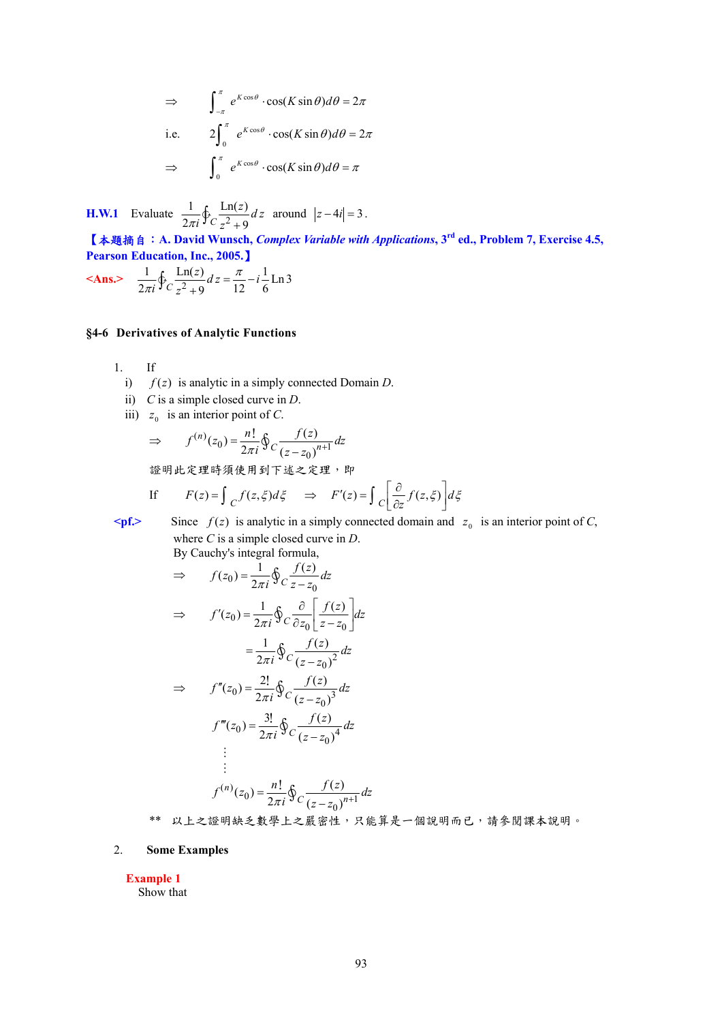$$
\Rightarrow \qquad \int_{-\pi}^{\pi} e^{K \cos \theta} \cdot \cos(K \sin \theta) d\theta = 2\pi
$$
  
i.e. 
$$
2 \int_{0}^{\pi} e^{K \cos \theta} \cdot \cos(K \sin \theta) d\theta = 2\pi
$$

$$
\Rightarrow \qquad \int_{0}^{\pi} e^{K \cos \theta} \cdot \cos(K \sin \theta) d\theta = \pi
$$

**H.W.1** Evaluate  $\frac{1}{2\pi i} \oint_C \frac{\text{Ln}(z)}{z^2+0}$  $2\pi i \int C_z^2 + 9$ *<sup>z</sup> d z*  $rac{1}{\pi i}$  $\oint_C \frac{\text{Ln}(2)}{z^2 + 9} dz$  around  $|z - 4i| = 3$ .

【本題摘自:**A. David Wunsch,** *Complex Variable with Applications***, 3rd ed., Problem 7, Exercise 4.5, Pearson Education, Inc., 2005.**】

**<Ans.>**  $\frac{1}{2\pi i} \oint_C \frac{\text{Ln}(z)}{z^2 + 0} dz = \frac{\pi}{12} - i \frac{1}{6} \text{Ln} 3$  $2\pi i \int C_z^2 + 9$  12 6  $\frac{z}{z}$  *d*  $z = \frac{\pi}{12} - i$ *i z*  $\frac{1}{\pi i} \oint_C \frac{\text{Ln}(z)}{z^2 + 9} dz = \frac{\pi}{12} -$ 

### **§4-6 Derivatives of Analytic Functions**

- 1. If
	- i) *f* (*z*) is analytic in a simply connected Domain *D*.
	- ii) *C* is a simple closed curve in *D*.
	- iii)  $z_0$  is an interior point of *C*.

$$
\Rightarrow f^{(n)}(z_0) = \frac{n!}{2\pi i} \oint_C \frac{f(z)}{(z - z_0)^{n+1}} dz
$$

證明此定理時須使用到下述之定理,即

If 
$$
F(z) = \int_C f(z, \xi) d\xi \implies F'(z) = \int_C \left[ \frac{\partial}{\partial z} f(z, \xi) \right] d\xi
$$

 $\leq$  **Since**  $f(z)$  is analytic in a simply connected domain and  $z_0$  is an interior point of *C*, where *C* is a simple closed curve in *D*. By Cauchy's integral formula,

$$
\Rightarrow f(z_0) = \frac{1}{2\pi i} \oint_C \frac{f(z)}{z - z_0} dz
$$
  

$$
\Rightarrow f'(z_0) = \frac{1}{2\pi i} \oint_C \frac{\partial}{\partial z_0} \left[ \frac{f(z)}{z - z_0} \right] dz
$$
  

$$
= \frac{1}{2\pi i} \oint_C \frac{f(z)}{(z - z_0)^2} dz
$$
  

$$
\Rightarrow f''(z_0) = \frac{2!}{2\pi i} \oint_C \frac{f(z)}{(z - z_0)^3} dz
$$
  

$$
f'''(z_0) = \frac{3!}{2\pi i} \oint_C \frac{f(z)}{(z - z_0)^4} dz
$$
  

$$
\vdots
$$
  

$$
f^{(n)}(z_0) = \frac{n!}{2\pi i} \oint_C \frac{f(z)}{(z - z_0)^{n+1}} dz
$$

\*\* 以上之證明缺乏數學上之嚴密性,只能算是一個說明而已,請參閱課本說明。

#### 2. **Some Examples**

**Example 1** 

Show that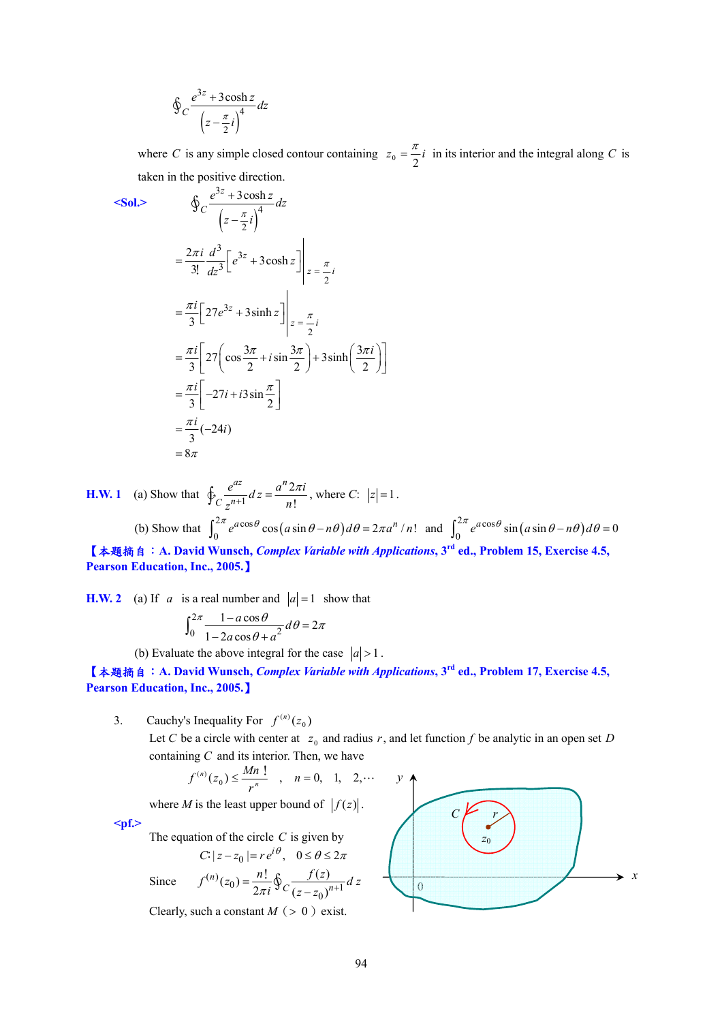$$
\oint_C \frac{e^{3z} + 3\cosh z}{\left(z - \frac{\pi}{2}i\right)^4} dz
$$

where *C* is any simple closed contour containing  $z_0 = \frac{\pi}{2}i$  in its interior and the integral along *C* is taken in the positive direction.

$$
Sol. \qquad \oint_C \frac{e^{3z} + 3\cosh z}{\left(z - \frac{\pi}{2}i\right)^4} dz
$$
\n
$$
= \frac{2\pi i}{3!} \frac{d^3}{dz^3} \left[e^{3z} + 3\cosh z\right]_{z = \frac{\pi}{2}i}
$$
\n
$$
= \frac{\pi i}{3} \left[27e^{3z} + 3\sinh z\right]_{z = \frac{\pi}{2}i}
$$
\n
$$
= \frac{\pi i}{3} \left[27\left(\cos\frac{3\pi}{2} + i\sin\frac{3\pi}{2}\right) + 3\sinh\left(\frac{3\pi i}{2}\right)\right]
$$
\n
$$
= \frac{\pi i}{3} \left[-27i + i3\sin\frac{\pi}{2}\right]
$$
\n
$$
= \frac{\pi i}{3}(-24i)
$$
\n
$$
= 8\pi
$$

**H.W. 1** (a) Show that  $\oint_C \frac{e^{az}}{z^{n+1}} dz = \frac{a^n 2}{n!}$ ! *az n*  $\oint_C \frac{e^{az}}{z^{n+1}} dz = \frac{a^n 2\pi i}{n!}$ , where *C*:  $|z|=1$ . (b) Show that  $\int_0^{2\pi} e^{a\cos\theta} \cos(a\sin\theta - n\theta) d\theta = 2\pi a^n/n!$  and  $\int_0^{2\pi} e^{a\cos\theta} \sin(a\sin\theta - n\theta) d\theta = 0$ 

【本題摘自:**A. David Wunsch,** *Complex Variable with Applications***, 3rd ed., Problem 15, Exercise 4.5, Pearson Education, Inc., 2005.**】

**H.W. 2** (a) If *a* is a real number and  $|a|=1$  show that

$$
\int_0^{2\pi} \frac{1 - a\cos\theta}{1 - 2a\cos\theta + a^2} d\theta = 2\pi
$$

(b) Evaluate the above integral for the case  $|a| > 1$ .

【本題摘自:**A. David Wunsch,** *Complex Variable with Applications***, 3rd ed., Problem 17, Exercise 4.5, Pearson Education, Inc., 2005.**】

3. Cauchy's Inequality For  $f^{(n)}(z_0)$ 

Let *C* be a circle with center at  $z_0$  and radius r, and let function f be analytic in an open set D containing *C* and its interior. Then, we have

$$
f^{(n)}(z_0) \le \frac{Mn!}{r^n}
$$
,  $n = 0, 1, 2,...$ 

where *M* is the least upper bound of  $|f(z)|$ .

**<pf.>** 

The equation of the circle *C* is given by

$$
C: |z - z_0| = r e^{i\theta}, \quad 0 \le \theta \le 2\pi
$$

Since  $f^{(n)}(z_0) = \frac{n!}{2\pi i} \oint_C \frac{f(z)}{(z - z_0)^{n+1}}$  $f^{(n)}(z_0) = \frac{n!}{2\pi i} \oint_C \frac{f(z)}{(z - z_0)^{n+1}} dz$ Clearly, such a constant  $M$  ( $> 0$ ) exist.

*y x* 0 *C z*0 *r*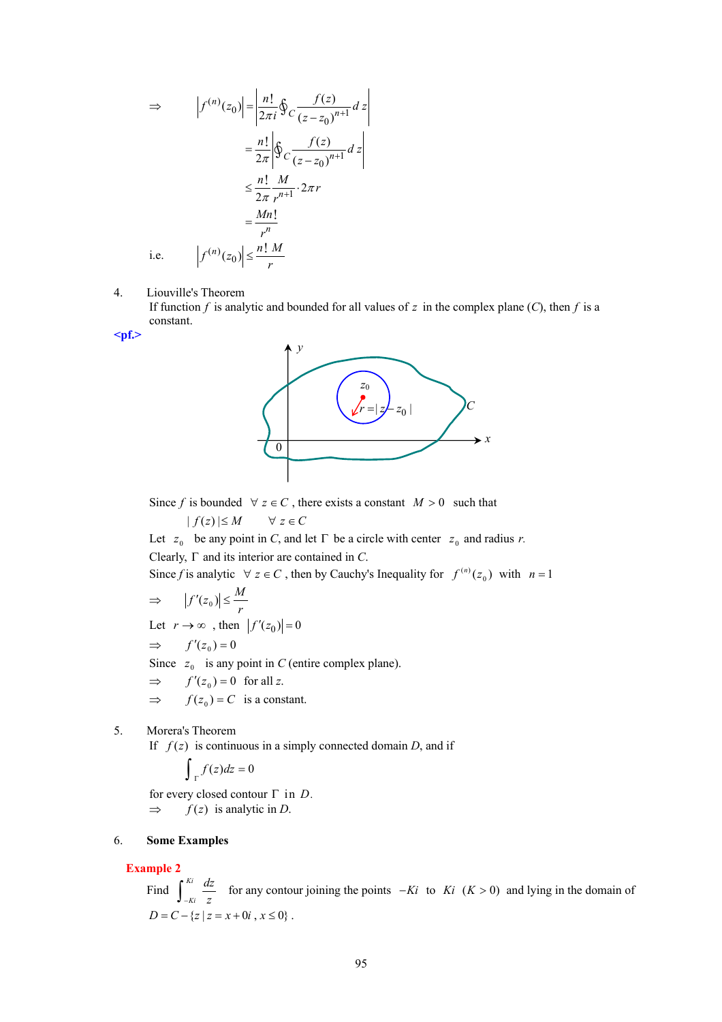$$
\Rightarrow |f^{(n)}(z_0)| = \left| \frac{n!}{2\pi i} \oint_C \frac{f(z)}{(z - z_0)^{n+1}} dz \right|
$$
  

$$
= \frac{n!}{2\pi} \left| \oint_C \frac{f(z)}{(z - z_0)^{n+1}} dz \right|
$$
  

$$
\leq \frac{n!}{2\pi} \frac{M}{r^{n+1}} \cdot 2\pi r
$$
  

$$
= \frac{Mn!}{r^n}
$$
  
i.e.  $|f^{(n)}(z_0)| \leq \frac{n! M}{r}$ 

4. Liouville's Theorem

If function  $f$  is analytic and bounded for all values of  $z$  in the complex plane  $(C)$ , then  $f$  is a constant.

**<pf.>** 



Since *f* is bounded  $\forall z \in C$ , there exists a constant  $M > 0$  such that

 $| f(z) | \leq M$  ∀ *z* ∈ *C* 

Let  $z_0$  be any point in *C*, and let  $\Gamma$  be a circle with center  $z_0$  and radius *r*.

Clearly, Γ and its interior are contained in *C*.

Since *f* is analytic  $\forall z \in C$ , then by Cauchy's Inequality for  $f^{(n)}(z_0)$  with  $n = 1$ 

$$
\Rightarrow \qquad \left| f'(z_0) \right| \leq \frac{M}{r}
$$

Let  $r \to \infty$ , then  $|f'(z_0)| = 0$ 

$$
\Rightarrow f'(z_0) = 0
$$

Since  $z_0$  is any point in *C* (entire complex plane).

 $\Rightarrow$   $f'(z_0) = 0$  for all z.

 $\Rightarrow$   $f(z_0) = C$  is a constant.

5. Morera's Theorem

If  $f(z)$  is continuous in a simply connected domain *D*, and if

$$
\int_{\Gamma} f(z) dz = 0
$$

for every closed contour Γ in *D.*  $\Rightarrow$  *f(z)* is analytic in *D*.

#### 6. **Some Examples**

### **Example 2**

Find  $\int_{-Ki}^{Ki} \frac{dz}{z}$  for any contour joining the points  $-Ki$  to  $Ki$  ( $K > 0$ ) and lying in the domain of  $D = C - \{z \mid z = x + 0i, x \le 0\}.$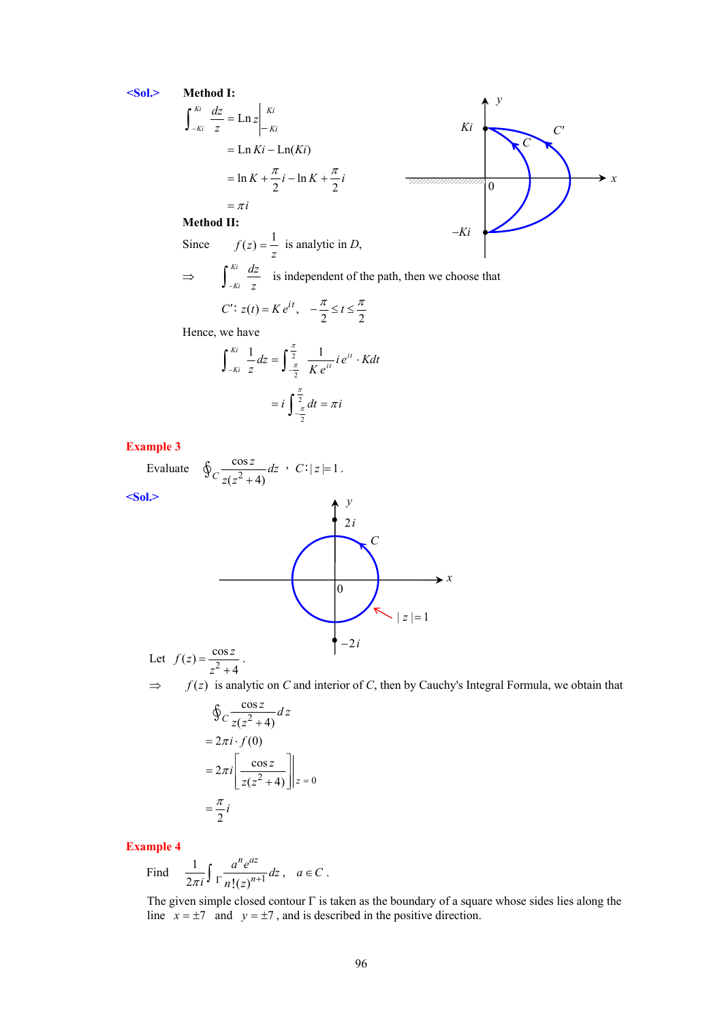**<Sol.> Method I:**

$$
\int_{-Ki}^{Ki} \frac{dz}{z} = \text{Ln } z \Big|_{-Ki}^{Ki} = \text{Ln } Ki - \text{Ln}(Ki)
$$
\n
$$
= \text{Ln } Ki - \text{Ln}(Ki)
$$
\n
$$
= \ln K + \frac{\pi}{2} i - \ln K + \frac{\pi}{2} i
$$
\n
$$
= \pi i
$$
\nMethod II:

\n

−*Ki*

**Method II:** 

Since  $f(z) = \frac{1}{z}$  is analytic in *D*,  $\Rightarrow$   $\int_{-Ki}^{Ki} \frac{dz}{z}$  is independent of the path, then we choose that

$$
C' : z(t) = Ke^{it}, \quad -\frac{\pi}{2} \le t \le \frac{\pi}{2}
$$

Hence, we have

$$
\int_{-Ki}^{Ki} \frac{1}{z} dz = \int_{-\frac{\pi}{2}}^{\frac{\pi}{2}} \frac{1}{K e^{it}} i e^{it} \cdot K dt
$$

$$
= i \int_{-\frac{\pi}{2}}^{\frac{\pi}{2}} dt = \pi i
$$

**Example 3** 

Evaluate  $\oint_C \frac{\cos \theta}{\sqrt{e^2}}$  $\oint_C \frac{\cos z}{z(z^2+4)} dz$  ,  $C: |z|=1$ . **<Sol.>**  Let  $f(z) = \frac{\cos z}{z^2}$  $f(z) = \frac{\cos z}{z^2 + 4}$ . *y x*  $\overline{\hspace{.2cm}0\hspace{.2cm}}$  $| z | = 1$ 2*i* −2*i C*

 $\Rightarrow$  *f(z)* is analytic on *C* and interior of *C*, then by Cauchy's Integral Formula, we obtain that

$$
\oint_C \frac{\cos z}{z(z^2 + 4)} dz
$$
\n
$$
= 2\pi i \cdot f(0)
$$
\n
$$
= 2\pi i \left[ \frac{\cos z}{z(z^2 + 4)} \right] | z = 0
$$
\n
$$
= \frac{\pi}{2} i
$$

**Example 4** 

Find  $\frac{1}{2\pi i} \int \frac{a^n e^{az}}{n!(z)^{n+1}} dz$ ,  $\frac{1}{\pi i} \int \frac{a^n e^{az}}{n!(z)^{n+1}} dz$ ,  $a \in C$ .

The given simple closed contour  $\Gamma$  is taken as the boundary of a square whose sides lies along the line  $x = \pm 7$  and  $y = \pm 7$ , and is described in the positive direction.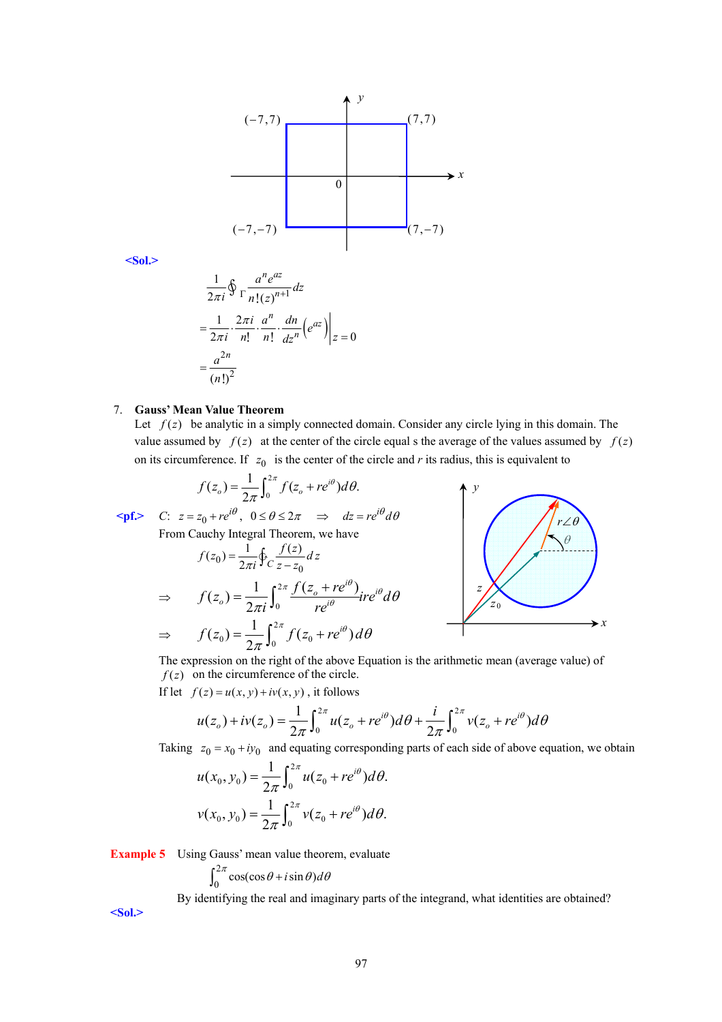

**<Sol.>** 

$$
\frac{1}{2\pi i} \oint \frac{a^n e^{az}}{\ln |(z)^{n+1}} dz
$$
  
= 
$$
\frac{1}{2\pi i} \cdot \frac{2\pi i}{n!} \cdot \frac{a^n}{n!} \cdot \frac{dn}{dz^n} (e^{az}) \Big|_{z=0}
$$
  
= 
$$
\frac{a^{2n}}{(n!)^2}
$$

#### 7. **Gauss' Mean Value Theorem**

Let  $f(z)$  be analytic in a simply connected domain. Consider any circle lying in this domain. The value assumed by  $f(z)$  at the center of the circle equal s the average of the values assumed by  $f(z)$ on its circumference. If  $z_0$  is the center of the circle and *r* its radius, this is equivalent to

$$
f(z_o) = \frac{1}{2\pi} \int_0^{2\pi} f(z_o + re^{i\theta}) d\theta.
$$
  
=  $z_o + re^{i\theta}$  0  $\le \theta \le 2\pi$   $\implies dz = re^{i\theta}$ .

 $\epsilon$ **pf.>** *C*:  $z = z_0 + re^{i\theta}$ ,  $0 \le \theta \le 2\pi$   $\Rightarrow$   $dz = re^{i\theta} d\theta$ 

From Cauchy Integral Theorem, we have

$$
f(z_0) = \frac{1}{2\pi i} \oint_C \frac{f(z)}{z - z_0} dz
$$
  
\n
$$
\Rightarrow \qquad f(z_0) = \frac{1}{2\pi i} \int_0^{2\pi} \frac{f(z_0 + re^{i\theta})}{re^{i\theta}} ire^{i\theta} d\theta
$$
  
\n
$$
\Rightarrow \qquad f(z_0) = \frac{1}{2\pi} \int_0^{2\pi} f(z_0 + re^{i\theta}) d\theta
$$



The expression on the right of the above Equation is the arithmetic mean (average value) of  $f(z)$  on the circumference of the circle.

If let  $f(z) = u(x, y) + iv(x, y)$ , it follows

$$
u(z_o) + iv(z_o) = \frac{1}{2\pi} \int_0^{2\pi} u(z_o + re^{i\theta}) d\theta + \frac{i}{2\pi} \int_0^{2\pi} v(z_o + re^{i\theta}) d\theta
$$

Taking  $z_0 = x_0 + iy_0$  and equating corresponding parts of each side of above equation, we obtain

$$
u(x_0, y_0) = \frac{1}{2\pi} \int_0^{2\pi} u(z_0 + re^{i\theta}) d\theta.
$$
  

$$
v(x_0, y_0) = \frac{1}{2\pi} \int_0^{2\pi} v(z_0 + re^{i\theta}) d\theta.
$$

**Example 5** Using Gauss' mean value theorem, evaluate

$$
\int_0^{2\pi} \cos(\cos\theta + i\sin\theta) d\theta
$$

By identifying the real and imaginary parts of the integrand, what identities are obtained?

**<Sol.>**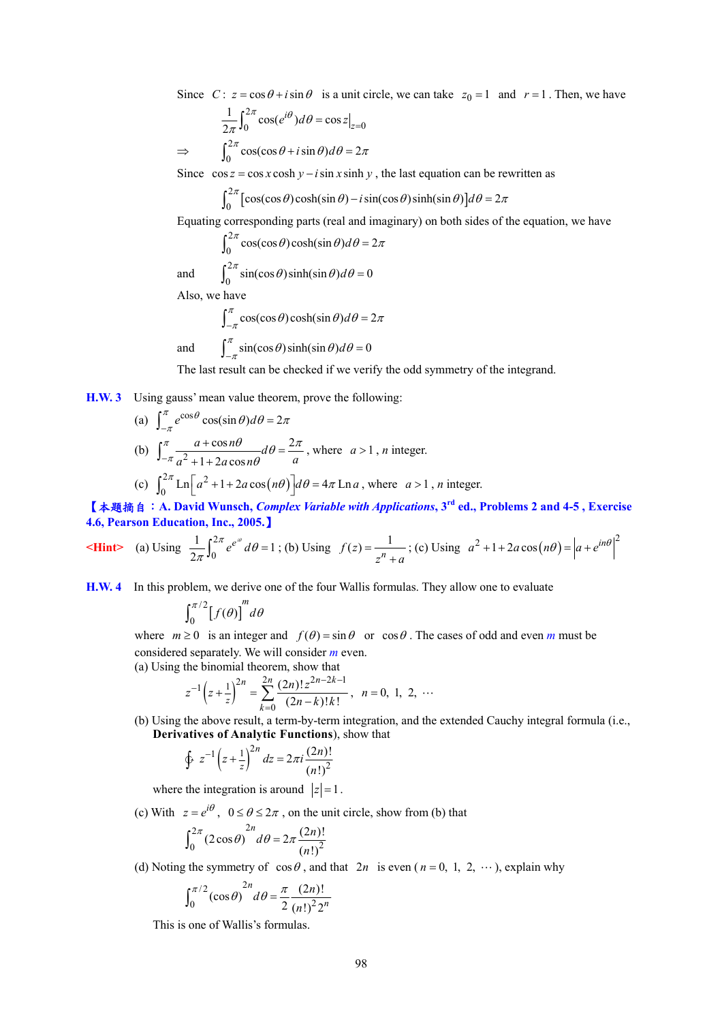Since  $C: z = \cos \theta + i \sin \theta$  is a unit circle, we can take  $z_0 = 1$  and  $r = 1$ . Then, we have

$$
\frac{1}{2\pi} \int_0^{2\pi} \cos(e^{i\theta}) d\theta = \cos z \Big|_{z=0}
$$
  
\n
$$
\Rightarrow \qquad \int_0^{2\pi} \cos(\cos\theta + i\sin\theta) d\theta = 2\pi
$$

Since  $\cos z = \cos x \cosh y - i \sin x \sinh y$ , the last equation can be rewritten as

$$
\int_0^{2\pi} \left[ \cos(\cos \theta) \cosh(\sin \theta) - i \sin(\cos \theta) \sinh(\sin \theta) \right] d\theta = 2\pi
$$

Equating corresponding parts (real and imaginary) on both sides of the equation, we have

$$
\int_0^{2\pi} \cos(\cos \theta) \cosh(\sin \theta) d\theta = 2\pi
$$

and 
$$
\int_0^{2\pi} \sin(\cos \theta) \sinh(\sin \theta) d\theta = 0
$$

Also, we have

$$
\int_{-\pi}^{\pi} \cos(\cos \theta) \cosh(\sin \theta) d\theta = 2\pi
$$
  
and 
$$
\int_{-\pi}^{\pi} \sin(\cos \theta) \sinh(\sin \theta) d\theta = 0
$$

The last result can be checked if we verify the odd symmetry of the integrand.

**H.W. 3** Using gauss' mean value theorem, prove the following:

(a) 
$$
\int_{-\pi}^{\pi} e^{\cos \theta} \cos(\sin \theta) d\theta = 2\pi
$$
  
\n(b) 
$$
\int_{-\pi}^{\pi} \frac{a + \cos n\theta}{a^2 + 1 + 2a \cos n\theta} d\theta = \frac{2\pi}{a}
$$
, where  $a > 1$ , *n* integer.  
\n(c) 
$$
\int_{0}^{2\pi} \text{Ln}\left[a^2 + 1 + 2a \cos(n\theta)\right] d\theta = 4\pi \text{Ln } a
$$
, where  $a > 1$ , *n* integer.

【本題摘自:**A. David Wunsch,** *Complex Variable with Applications***, 3rd ed., Problems 2 and 4-5 , Exercise 4.6, Pearson Education, Inc., 2005.**】

**Hint** (a) Using 
$$
\frac{1}{2\pi} \int_0^{2\pi} e^{e^{i\theta}} d\theta = 1
$$
; (b) Using  $f(z) = \frac{1}{z^n + a}$ ; (c) Using  $a^2 + 1 + 2a \cos(n\theta) = |a + e^{in\theta}|^2$ 

**H.W. 4** In this problem, we derive one of the four Wallis formulas. They allow one to evaluate

$$
\int_0^{\pi/2} \bigl[f(\theta)\bigr]^m d\theta
$$

where  $m \ge 0$  is an integer and  $f(\theta) = \sin \theta$  or  $\cos \theta$ . The cases of odd and even *m* must be considered separately. We will consider *m* even.

(a) Using the binomial theorem, show that

$$
z^{-1}\left(z+\frac{1}{z}\right)^{2n} = \sum_{k=0}^{2n} \frac{(2n)!z^{2n-2k-1}}{(2n-k)!k!}, \quad n = 0, 1, 2, \cdots
$$

(b) Using the above result, a term-by-term integration, and the extended Cauchy integral formula (i.e., **Derivatives of Analytic Functions**), show that

$$
\oint z^{-1} \left( z + \frac{1}{z} \right)^{2n} dz = 2\pi i \frac{(2n)!}{(n!)^2}
$$

where the integration is around  $|z|=1$ .

(c) With  $z = e^{i\theta}$ ,  $0 \le \theta \le 2\pi$ , on the unit circle, show from (b) that

$$
\int_0^{2\pi} (2\cos\theta)^{2n} d\theta = 2\pi \frac{(2n)!}{(n!)^2}
$$

(d) Noting the symmetry of  $\cos \theta$ , and that  $2n$  is even ( $n = 0, 1, 2, \dots$ ), explain why

$$
\int_0^{\pi/2} (\cos \theta)^{2n} d\theta = \frac{\pi}{2} \frac{(2n)!}{(n!)^2 2^n}
$$

This is one of Wallis's formulas.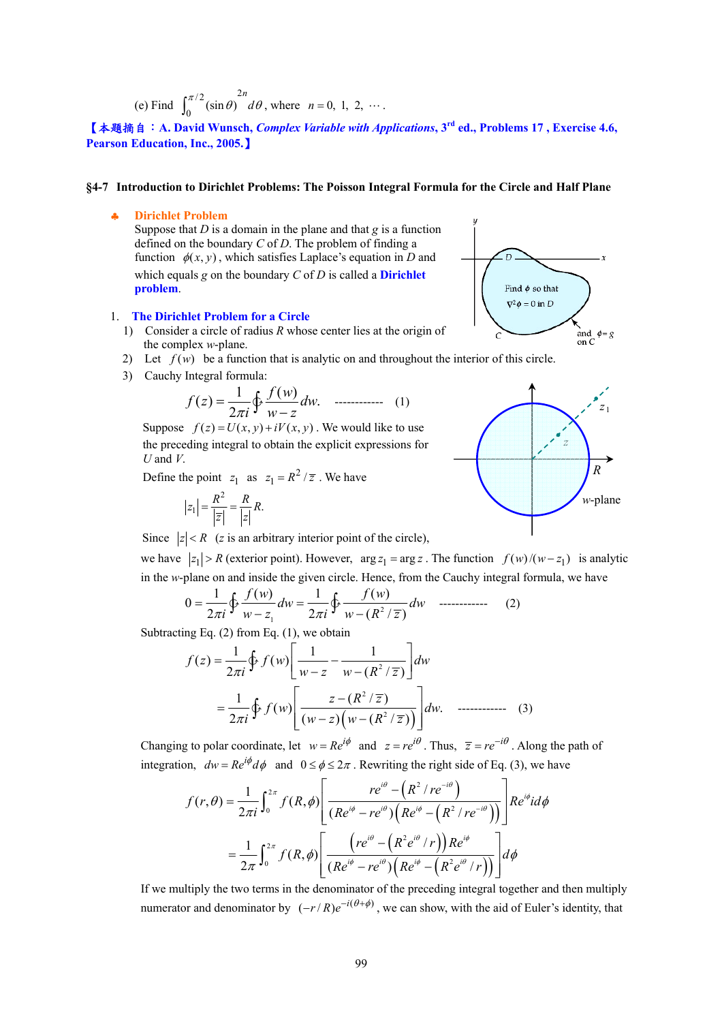(e) Find  $\int_{0}^{\pi/2} (\sin \theta)^2$  $\int_{0}^{\pi/2} (\sin \theta)$  $\int_0^{\pi/2} (\sin \theta) \, d\theta$ , where *n* = 0, 1, 2, ….

【本題摘自:**A. David Wunsch,** *Complex Variable with Applications***, 3rd ed., Problems 17 , Exercise 4.6, Pearson Education, Inc., 2005.**】

#### **§4-7 Introduction to Dirichlet Problems: The Poisson Integral Formula for the Circle and Half Plane**

#### ♣ **Dirichlet Problem**

Suppose that *D* is a domain in the plane and that *g* is a function defined on the boundary *C* of *D*. The problem of finding a function  $\phi(x, y)$ , which satisfies Laplace's equation in *D* and which equals *g* on the boundary *C* of *D* is called a **Dirichlet problem**.

#### 1. **The Dirichlet Problem for a Circle**

- 1) Consider a circle of radius *R* whose center lies at the origin of the complex *w*-plane.
- 2) Let  $f(w)$  be a function that is analytic on and throughout the interior of this circle.
- 3) Cauchy Integral formula:

1 () () . <sup>2</sup> *f w <sup>f</sup> z dw* <sup>π</sup>*i wz* <sup>=</sup> <sup>−</sup> >∫ ------------ (1)

Suppose  $f(z) = U(x, y) + iV(x, y)$ . We would like to use the preceding integral to obtain the explicit expressions for *U* and *V*.

Define the point  $z_1$  as  $z_1 = R^2 / \overline{z}$ . We have

$$
|z_1| = \frac{R^2}{\left|\overline{z}\right|} = \frac{R}{\left|z\right|} R.
$$

Since  $|z| < R$  (*z* is an arbitrary interior point of the circle),

we have  $|z_1| > R$  (exterior point). However,  $\arg z_1 = \arg z$ . The function  $f(w)/(w - z_1)$  is analytic in the *w*-plane on and inside the given circle. Hence, from the Cauchy integral formula, we have

$$
0 = \frac{1}{2\pi i} \oint \frac{f(w)}{w - z_1} dw = \frac{1}{2\pi i} \oint \frac{f(w)}{w - (R^2/\overline{z})} dw \quad \text{............} \tag{2}
$$

Subtracting Eq.  $(2)$  from Eq.  $(1)$ , we obtain

$$
f(z) = \frac{1}{2\pi i} \oint f(w) \left[ \frac{1}{w - z} - \frac{1}{w - (R^2 / \overline{z})} \right] dw
$$
  
= 
$$
\frac{1}{2\pi i} \oint f(w) \left[ \frac{z - (R^2 / \overline{z})}{(w - z) (w - (R^2 / \overline{z}))} \right] dw.
$$
 ....... (3)

Changing to polar coordinate, let  $w = Re^{i\phi}$  and  $z = re^{i\theta}$ . Thus,  $\overline{z} = re^{-i\theta}$ . Along the path of integration,  $dw = Re^{i\phi} d\phi$  and  $0 \le \phi \le 2\pi$ . Rewriting the right side of Eq. (3), we have

$$
f(r,\theta) = \frac{1}{2\pi i} \int_0^{2\pi} f(R,\phi) \left[ \frac{re^{i\theta} - (R^2 / re^{-i\theta})}{(Re^{i\phi} - re^{i\theta}) (Re^{i\phi} - (R^2 / re^{-i\theta}))} \right] Re^{i\phi} i d\phi
$$
  

$$
= \frac{1}{2\pi} \int_0^{2\pi} f(R,\phi) \left[ \frac{\left( re^{i\theta} - (R^2 e^{i\theta} / r) \right) Re^{i\phi}}{(Re^{i\phi} - re^{i\theta}) (Re^{i\phi} - (R^2 e^{i\theta} / r))} \right] d\phi
$$

If we multiply the two terms in the denominator of the preceding integral together and then multiply numerator and denominator by  $(-r/R)e^{-i(\theta+\phi)}$ , we can show, with the aid of Euler's identity, that



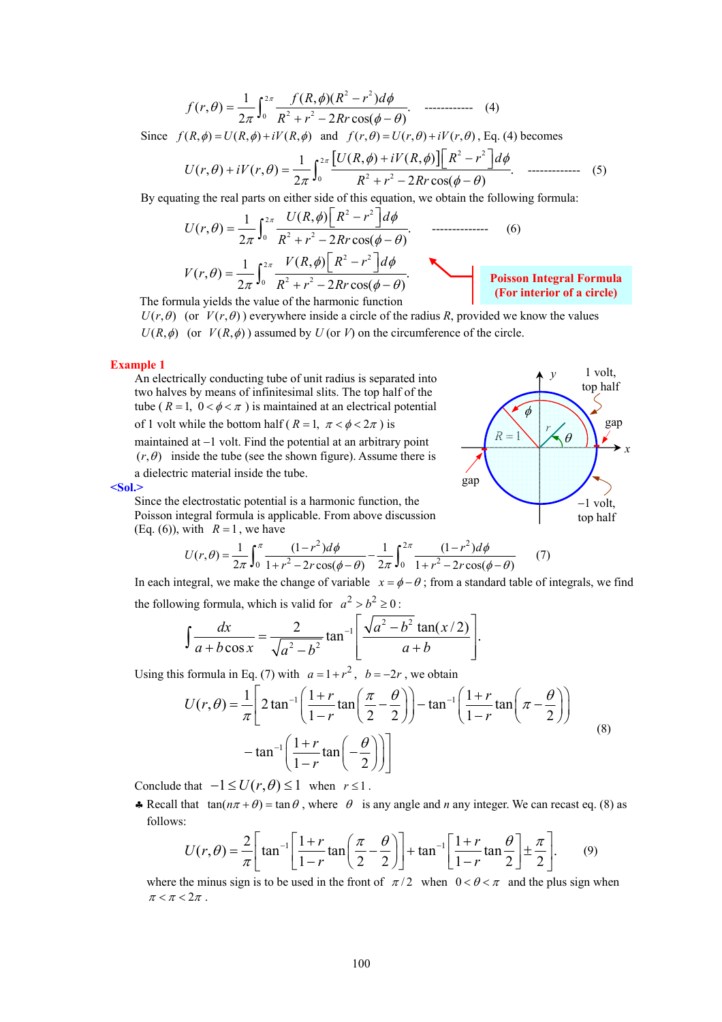$$
f(r,\theta) = \frac{1}{2\pi} \int_0^{2\pi} \frac{f(R,\phi)(R^2 - r^2) d\phi}{R^2 + r^2 - 2Rr\cos(\phi - \theta)}.
$$
 (4)

Since  $f(R, \phi) = U(R, \phi) + iV(R, \phi)$  and  $f(r, \theta) = U(r, \theta) + iV(r, \theta)$ , Eq. (4) becomes

$$
U(r,\theta) + iV(r,\theta) = \frac{1}{2\pi} \int_0^{2\pi} \frac{[U(R,\phi) + iV(R,\phi)] [R^2 - r^2] d\phi}{R^2 + r^2 - 2Rr \cos(\phi - \theta)}.
$$

By equating the real parts on either side of this equation, we obtain the following formula:

$$
U(r,\theta) = \frac{1}{2\pi} \int_0^{2\pi} \frac{U(R,\phi) \left[ R^2 - r^2 \right] d\phi}{R^2 + r^2 - 2Rr \cos(\phi - \theta)}.
$$
 (6)  

$$
V(r,\theta) = \frac{1}{2\pi} \int_0^{2\pi} \frac{V(R,\phi) \left[ R^2 - r^2 \right] d\phi}{R^2 + r^2 - 2Rr \cos(\phi - \theta)}.
$$
 Poisson Integral Formula (For interior of a circle)

The formula yields the value of the harmonic function

### $U(r, \theta)$  (or  $V(r, \theta)$ ) everywhere inside a circle of the radius *R*, provided we know the values  $U(R,\phi)$  (or  $V(R,\phi)$ ) assumed by  $U$  (or *V*) on the circumference of the circle.

#### **Example 1**

An electrically conducting tube of unit radius is separated into two halves by means of infinitesimal slits. The top half of the tube ( $R = 1$ ,  $0 < \phi < \pi$ ) is maintained at an electrical potential of 1 volt while the bottom half ( $R = 1$ ,  $\pi < \phi < 2\pi$ ) is

maintained at −1 volt. Find the potential at an arbitrary point  $(r, \theta)$  inside the tube (see the shown figure). Assume there is a dielectric material inside the tube.



**<Sol.>** 

Since the electrostatic potential is a harmonic function, the Poisson integral formula is applicable. From above discussion (Eq. (6)), with  $R = 1$ , we have

$$
U(r,\theta) = \frac{1}{2\pi} \int_0^{\pi} \frac{(1-r^2)d\phi}{1+r^2 - 2r\cos(\phi-\theta)} - \frac{1}{2\pi} \int_0^{2\pi} \frac{(1-r^2)d\phi}{1+r^2 - 2r\cos(\phi-\theta)} \tag{7}
$$

In each integral, we make the change of variable  $x = \phi - \theta$ ; from a standard table of integrals, we find the following formula, which is valid for  $a^2 > b^2 \ge 0$ :

$$
\int \frac{dx}{a + b \cos x} = \frac{2}{\sqrt{a^2 - b^2}} \tan^{-1} \left[ \frac{\sqrt{a^2 - b^2} \tan(x/2)}{a + b} \right].
$$

Using this formula in Eq. (7) with  $a = 1 + r^2$ ,  $b = -2r$ , we obtain

$$
U(r,\theta) = \frac{1}{\pi} \left[ 2 \tan^{-1} \left( \frac{1+r}{1-r} \tan \left( \frac{\pi}{2} - \frac{\theta}{2} \right) \right) - \tan^{-1} \left( \frac{1+r}{1-r} \tan \left( \pi - \frac{\theta}{2} \right) \right) - \tan^{-1} \left( \frac{1+r}{1-r} \tan \left( -\frac{\theta}{2} \right) \right) \right]
$$
(8)

Conclude that  $-1 \le U(r, \theta) \le 1$  when  $r \le 1$ .

• Recall that  $tan(n\pi + \theta) = tan \theta$ , where  $\theta$  is any angle and *n* any integer. We can recast eq. (8) as follows:

$$
U(r,\theta) = \frac{2}{\pi} \left[ \tan^{-1} \left[ \frac{1+r}{1-r} \tan \left( \frac{\pi}{2} - \frac{\theta}{2} \right) \right] + \tan^{-1} \left[ \frac{1+r}{1-r} \tan \frac{\theta}{2} \right] \pm \frac{\pi}{2} \right].
$$
 (9)

where the minus sign is to be used in the front of  $\pi/2$  when  $0 < \theta < \pi$  and the plus sign when  $\pi < \pi < 2\pi$ .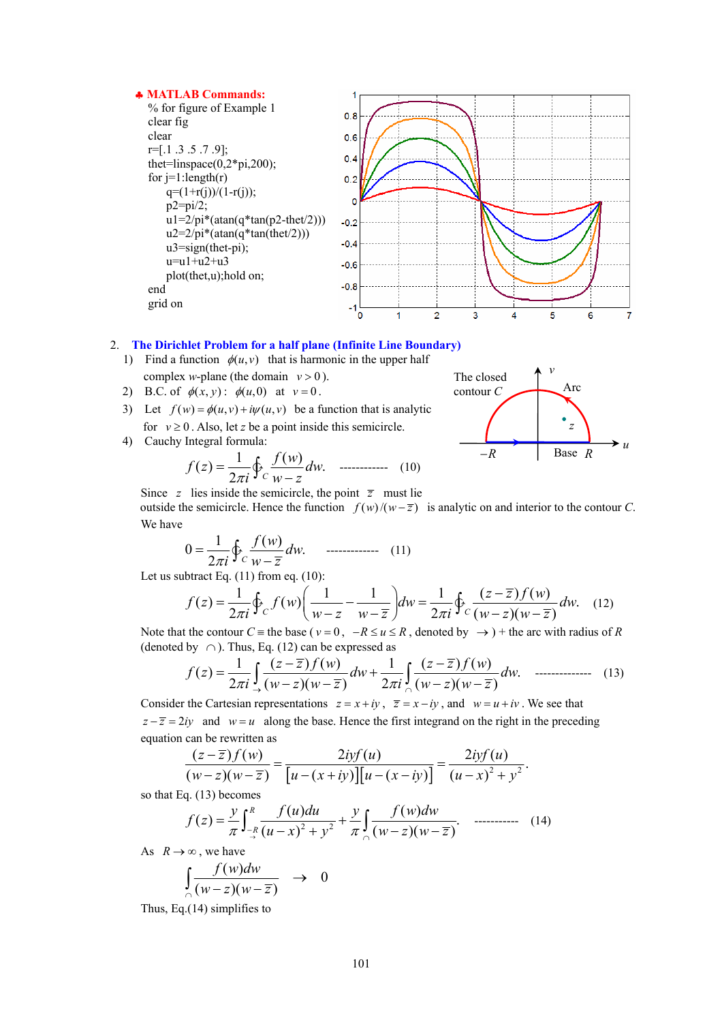

### 2. **The Dirichlet Problem for a half plane (Infinite Line Boundary)**

- 1) Find a function  $\phi(u,v)$  that is harmonic in the upper half complex *w*-plane (the domain  $v > 0$ ).
- 2) B.C. of  $\phi(x, y)$ :  $\phi(u, 0)$  at  $v = 0$ .
- 3) Let  $f(w) = \phi(u, v) + i\psi(u, v)$  be a function that is analytic for  $v \ge 0$ . Also, let *z* be a point inside this semicircle.
- 4) Cauchy Integral formula:

1 () () . <sup>2</sup> *<sup>C</sup> f w <sup>f</sup> z dw* <sup>π</sup>*i wz* <sup>=</sup> <sup>−</sup> >∫ ------------ (10)

*v u R* Base *z*  Arc −*R* The closed contour *C*

Since *z* lies inside the semicircle, the point  $\overline{z}$  must lie outside the semicircle. Hence the function  $f(w)/(w-\overline{z})$  is analytic on and interior to the contour *C*. We have

$$
0 = \frac{1}{2\pi i} \oint_C \frac{f(w)}{w - \overline{z}} dw.
$$
 (11)

Let us subtract Eq.  $(11)$  from eq.  $(10)$ :

$$
f(z) = \frac{1}{2\pi i} \oint_C f(w) \left( \frac{1}{w - z} - \frac{1}{w - \overline{z}} \right) dw = \frac{1}{2\pi i} \oint_C \frac{(z - \overline{z}) f(w)}{(w - z)(w - \overline{z})} dw. \tag{12}
$$

Note that the contour  $C \equiv$  the base ( $v = 0$ ,  $-R \le u \le R$ , denoted by  $\rightarrow$ ) + the arc with radius of *R* (denoted by  $\cap$ ). Thus, Eq. (12) can be expressed as

$$
f(z) = \frac{1}{2\pi i} \int_{-\infty}^{\infty} \frac{(z-\overline{z})f(w)}{(w-z)(w-\overline{z})} dw + \frac{1}{2\pi i} \int_{\cap}^{\infty} \frac{(z-\overline{z})f(w)}{(w-z)(w-\overline{z})} dw.
$$
 \n........(13)

Consider the Cartesian representations  $z = x + iy$ ,  $\overline{z} = x - iy$ , and  $w = u + iv$ . We see that  $z - \overline{z} = 2iy$  and  $w = u$  along the base. Hence the first integrand on the right in the preceding equation can be rewritten as

$$
\frac{(z-\overline{z})f(w)}{(w-z)(w-\overline{z})}=\frac{2iyf(u)}{[u-(x+iy)][u-(x-iy)]}=\frac{2iyf(u)}{(u-x)^2+y^2}.
$$

so that Eq. (13) becomes

$$
f(z) = \frac{y}{\pi} \int_{-\frac{R}{2}}^{R} \frac{f(u)du}{(u-x)^2 + y^2} + \frac{y}{\pi} \int_{\cap} \frac{f(w)dw}{(w-z)(w-\overline{z})}.
$$
 (14)

As  $R \rightarrow \infty$ , we have

$$
\int_{\cap} \frac{f(w)dw}{(w-z)(w-\overline{z})} \rightarrow 0
$$

Thus, Eq.(14) simplifies to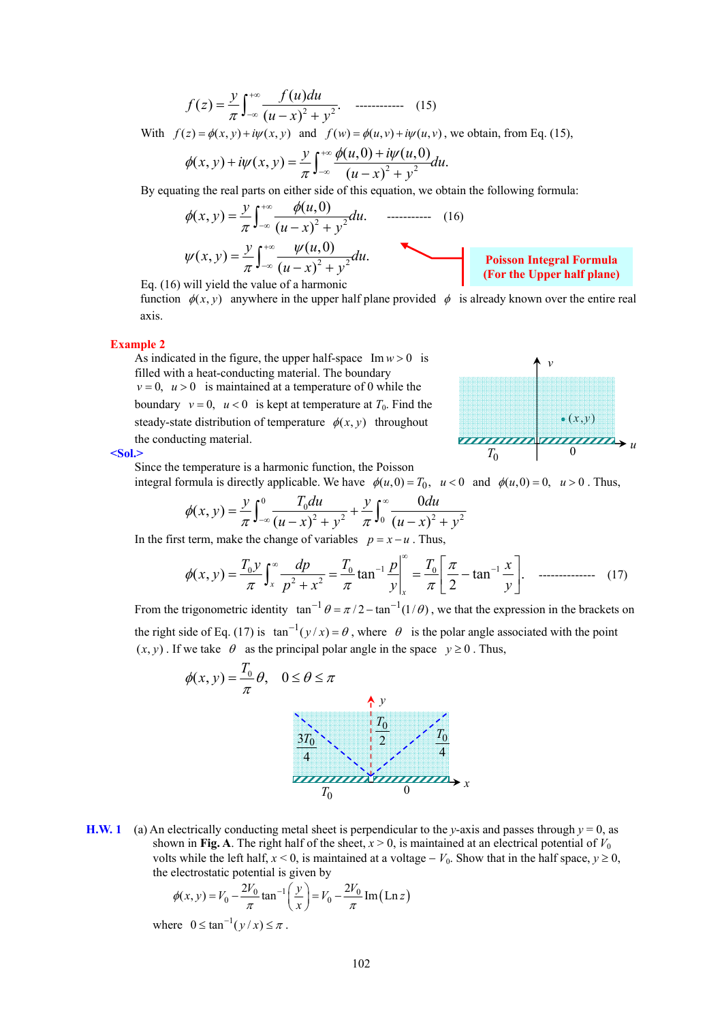$$
f(z) = \frac{y}{\pi} \int_{-\infty}^{+\infty} \frac{f(u)du}{(u-x)^2 + y^2}.
$$
 (15)

With  $f(z) = \phi(x, y) + i\psi(x, y)$  and  $f(w) = \phi(u, v) + i\psi(u, v)$ , we obtain, from Eq. (15),

$$
\phi(x, y) + i\psi(x, y) = \frac{y}{\pi} \int_{-\infty}^{+\infty} \frac{\phi(u, 0) + i\psi(u, 0)}{(u - x)^2 + y^2} du.
$$

By equating the real parts on either side of this equation, we obtain the following formula:

$$
\phi(x, y) = \frac{y}{\pi} \int_{-\infty}^{+\infty} \frac{\phi(u, 0)}{(u - x)^2 + y^2} du.
$$
 (16)  

$$
\psi(x, y) = \frac{y}{\pi} \int_{-\infty}^{+\infty} \frac{\psi(u, 0)}{(u - x)^2 + y^2} du.
$$

Eq. (16) will yield the value of a harmonic

function  $\phi(x, y)$  anywhere in the upper half plane provided  $\phi$  is already known over the entire real axis.

#### **Example 2**

As indicated in the figure, the upper half-space  $Im w > 0$  is filled with a heat-conducting material. The boundary  $v = 0$ ,  $u > 0$  is maintained at a temperature of 0 while the boundary  $v = 0$ ,  $u < 0$  is kept at temperature at  $T_0$ . Find the steady-state distribution of temperature  $\phi(x, y)$  throughout the conducting material.



**Poisson Integral Formula (For the Upper half plane)** 

#### **<Sol.>**

Since the temperature is a harmonic function, the Poisson integral formula is directly applicable. We have  $\phi(u, 0) = T_0$ ,  $u < 0$  and  $\phi(u, 0) = 0$ ,  $u > 0$ . Thus,

$$
\phi(x, y) = \frac{y}{\pi} \int_{-\infty}^{0} \frac{T_0 du}{(u - x)^2 + y^2} + \frac{y}{\pi} \int_{0}^{\infty} \frac{0 du}{(u - x)^2 + y^2}
$$

In the first term, make the change of variables  $p = x - u$ . Thus,

$$
\phi(x, y) = \frac{T_0 y}{\pi} \int_x^{\infty} \frac{dp}{p^2 + x^2} = \frac{T_0}{\pi} \tan^{-1} \frac{p}{y} \bigg|_x^{\infty} = \frac{T_0}{\pi} \bigg[ \frac{\pi}{2} - \tan^{-1} \frac{x}{y} \bigg]. \quad \text{............} \quad (17)
$$

From the trigonometric identity  $\tan^{-1} \theta = \pi/2 - \tan^{-1}(1/\theta)$ , we that the expression in the brackets on the right side of Eq. (17) is  $\tan^{-1}(y/x) = \theta$ , where  $\theta$  is the polar angle associated with the point  $(x, y)$ . If we take  $\theta$  as the principal polar angle in the space  $y \ge 0$ . Thus,



**H.W. 1** (a) An electrically conducting metal sheet is perpendicular to the *y*-axis and passes through  $y = 0$ , as shown in **Fig. A**. The right half of the sheet,  $x > 0$ , is maintained at an electrical potential of  $V_0$ volts while the left half,  $x < 0$ , is maintained at a voltage −  $V_0$ . Show that in the half space,  $y \ge 0$ , the electrostatic potential is given by

$$
\phi(x, y) = V_0 - \frac{2V_0}{\pi} \tan^{-1} \left( \frac{y}{x} \right) = V_0 - \frac{2V_0}{\pi} \operatorname{Im} (\operatorname{Ln} z)
$$

where  $0 \leq \tan^{-1}(y/x) \leq \pi$ .